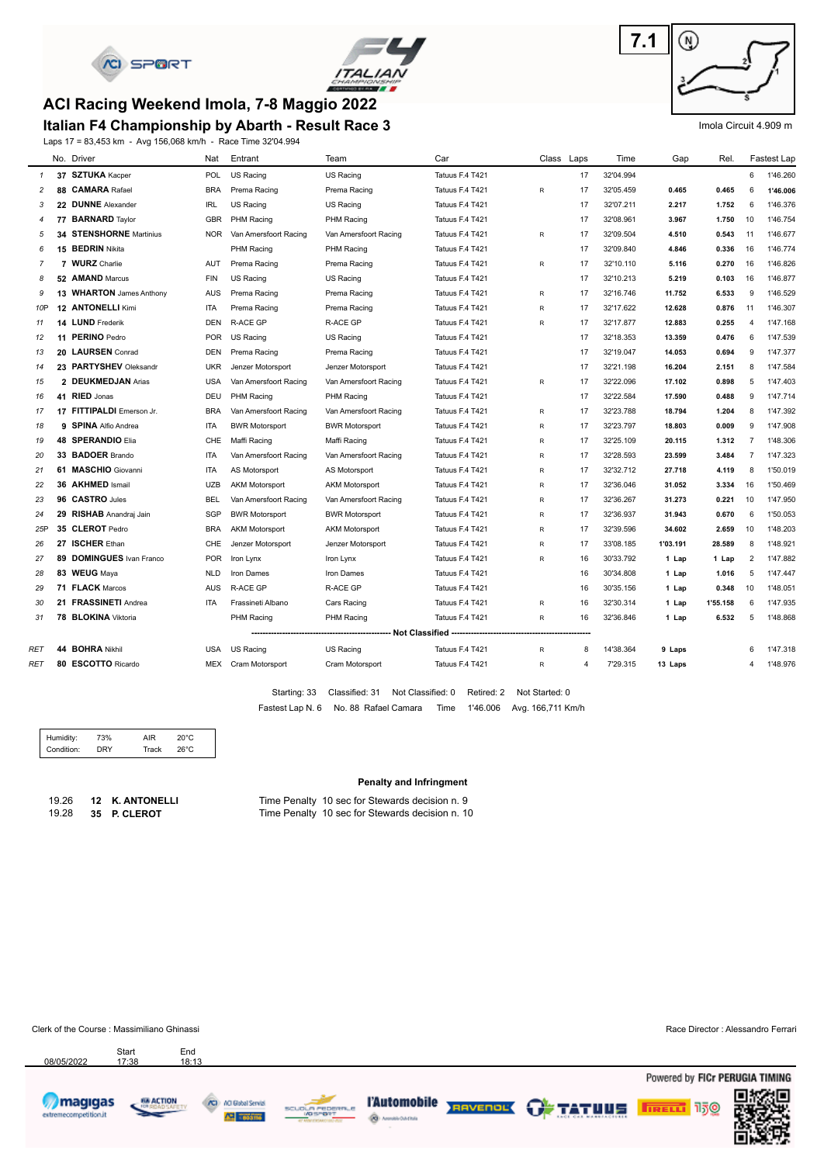



#### **ACI Racing Weekend Imola, 7-8 Maggio 2022**

#### **Italian F4 Championship by Abarth - Result Race 3**

Laps 17 = 83,453 km - Avg 156,068 km/h - Race Time 32'04.994



#### Imola Circuit 4.909 m

|                | No. Driver                | Nat        | Entrant               | Team                  | Car                                                                               | Class Laps      |       | Time      | Gap      | Rel.     |                | Fastest Lap |
|----------------|---------------------------|------------|-----------------------|-----------------------|-----------------------------------------------------------------------------------|-----------------|-------|-----------|----------|----------|----------------|-------------|
| $\mathcal{I}$  | 37 SZTUKA Kacper          | <b>POL</b> | <b>US Racing</b>      | <b>US Racing</b>      | Tatuus F.4 T421                                                                   |                 | 17    | 32'04.994 |          |          | 6              | 1'46.260    |
| $\overline{c}$ | 88 CAMARA Rafael          | <b>BRA</b> | Prema Racing          | Prema Racing          | Tatuus F.4 T421                                                                   | R               | 17    | 32'05.459 | 0.465    | 0.465    | 6              | 1'46.006    |
| 3              | 22 DUNNE Alexander        | <b>IRL</b> | US Racing             | US Racing             | Tatuus F.4 T421                                                                   |                 | 17    | 32'07.211 | 2.217    | 1.752    | 6              | 1'46.376    |
| 4              | 77 BARNARD Taylor         | <b>GBR</b> | <b>PHM Racing</b>     | PHM Racing            | Tatuus F.4 T421                                                                   |                 | 17    | 32'08.961 | 3.967    | 1.750    | 10             | 1'46.754    |
| 5              | 34 STENSHORNE Martinius   | <b>NOR</b> | Van Amersfoort Racing | Van Amersfoort Racing | Tatuus F.4 T421                                                                   | R               | 17    | 32'09.504 | 4.510    | 0.543    | 11             | 1'46.677    |
| 6              | 15 BEDRIN Nikita          |            | PHM Racing            | PHM Racing            | Tatuus F.4 T421                                                                   |                 | 17    | 32'09.840 | 4.846    | 0.336    | 16             | 1'46.774    |
| $\overline{7}$ | 7 WURZ Charlie            | AUT        | Prema Racing          | Prema Racing          | Tatuus F.4 T421                                                                   | R               | 17    | 32'10.110 | 5.116    | 0.270    | 16             | 1'46.826    |
| 8              | 52 AMAND Marcus           | <b>FIN</b> | US Racing             | US Racing             | Tatuus F.4 T421                                                                   |                 | 17    | 32'10.213 | 5.219    | 0.103    | 16             | 1'46.877    |
| 9              | 13 WHARTON James Anthony  | <b>AUS</b> | Prema Racing          | Prema Racing          | Tatuus F.4 T421                                                                   | R               | 17    | 32'16.746 | 11.752   | 6.533    | 9              | 1'46.529    |
| 10P            | 12 ANTONELLI Kimi         | ITA        | Prema Racing          | Prema Racing          | Tatuus F.4 T421                                                                   | R               | 17    | 32'17.622 | 12.628   | 0.876    | 11             | 1'46.307    |
| 11             | 14 LUND Frederik          | <b>DEN</b> | <b>R-ACE GP</b>       | <b>R-ACE GP</b>       | Tatuus F.4 T421                                                                   | R               | 17    | 32'17.877 | 12.883   | 0.255    | 4              | 1'47.168    |
| 12             | 11 PERINO Pedro           | <b>POR</b> | <b>US Racing</b>      | <b>US Racing</b>      | Tatuus F.4 T421                                                                   |                 | 17    | 32'18.353 | 13.359   | 0.476    | 6              | 1'47.539    |
| 13             | 20 LAURSEN Conrad         | <b>DEN</b> | Prema Racing          | Prema Racing          | Tatuus F.4 T421                                                                   |                 | 17    | 32'19.047 | 14.053   | 0.694    | 9              | 1'47.377    |
| 14             | 23 PARTYSHEV Oleksandr    | <b>UKR</b> | Jenzer Motorsport     | Jenzer Motorsport     | Tatuus F.4 T421                                                                   |                 | 17    | 32'21.198 | 16.204   | 2.151    | 8              | 1'47.584    |
| 15             | 2 DEUKMEDJAN Arias        | <b>USA</b> | Van Amersfoort Racing | Van Amersfoort Racing | Tatuus F.4 T421                                                                   | R               | 17    | 32'22.096 | 17.102   | 0.898    | 5              | 1'47.403    |
| 16             | 41 RIED Jonas             | DEU        | PHM Racing            | PHM Racing            | Tatuus F.4 T421                                                                   |                 | 17    | 32'22.584 | 17.590   | 0.488    | 9              | 1'47.714    |
| 17             | 17 FITTIPALDI Emerson Jr. | <b>BRA</b> | Van Amersfoort Racing | Van Amersfoort Racing | Tatuus F.4 T421                                                                   | R               | 17    | 32'23.788 | 18.794   | 1.204    | 8              | 1'47.392    |
| 18             | 9 SPINA Alfio Andrea      | <b>ITA</b> | <b>BWR Motorsport</b> | <b>BWR Motorsport</b> | Tatuus F.4 T421                                                                   | R               | 17    | 32'23.797 | 18.803   | 0.009    | 9              | 1'47.908    |
| 19             | <b>48 SPERANDIO Elia</b>  | CHE        | Maffi Racing          | Maffi Racing          | Tatuus F.4 T421                                                                   | R               | 17    | 32'25.109 | 20.115   | 1.312    | $\overline{7}$ | 1'48.306    |
| 20             | 33 BADOER Brando          | ITA        | Van Amersfoort Racing | Van Amersfoort Racing | Tatuus F.4 T421                                                                   | R               | 17    | 32'28.593 | 23.599   | 3.484    | $\overline{7}$ | 1'47.323    |
| 21             | 61 MASCHIO Giovanni       | <b>ITA</b> | AS Motorsport         | AS Motorsport         | Tatuus F.4 T421                                                                   | R               | 17    | 32'32.712 | 27.718   | 4.119    | 8              | 1'50.019    |
| 22             | 36 AKHMED Ismail          | <b>UZB</b> | <b>AKM Motorsport</b> | <b>AKM Motorsport</b> | Tatuus F.4 T421                                                                   | R               | 17    | 32'36.046 | 31.052   | 3.334    | 16             | 1'50.469    |
| 23             | 96 CASTRO Jules           | <b>BEL</b> | Van Amersfoort Racing | Van Amersfoort Racing | Tatuus F.4 T421                                                                   | R               | 17    | 32'36.267 | 31.273   | 0.221    | 10             | 1'47.950    |
| 24             | 29 RISHAB Anandraj Jain   | SGP        | <b>BWR Motorsport</b> | <b>BWR Motorsport</b> | Tatuus F.4 T421                                                                   | R               | 17    | 32'36.937 | 31.943   | 0.670    | 6              | 1'50.053    |
| 25P            | 35 CLEROT Pedro           | <b>BRA</b> | <b>AKM Motorsport</b> | <b>AKM Motorsport</b> | Tatuus F.4 T421                                                                   | R               | 17    | 32'39.596 | 34.602   | 2.659    | 10             | 1'48.203    |
| 26             | 27 ISCHER Ethan           | CHE        | Jenzer Motorsport     | Jenzer Motorsport     | Tatuus F.4 T421                                                                   | R               | 17    | 33'08.185 | 1'03.191 | 28.589   | 8              | 1'48.921    |
| 27             | 89 DOMINGUES Ivan Franco  | <b>POR</b> | Iron Lynx             | Iron Lynx             | Tatuus F.4 T421                                                                   | R               | 16    | 30'33.792 | 1 Lap    | 1 Lap    | $\overline{2}$ | 1'47.882    |
| 28             | 83 WEUG Maya              | <b>NLD</b> | Iron Dames            | Iron Dames            | Tatuus F.4 T421                                                                   |                 | 16    | 30'34.808 | 1 Lap    | 1.016    | 5              | 1'47.447    |
| 29             | 71 FLACK Marcos           | <b>AUS</b> | <b>R-ACE GP</b>       | <b>R-ACE GP</b>       | Tatuus F.4 T421                                                                   |                 | 16    | 30'35.156 | 1 Lap    | 0.348    | 10             | 1'48.051    |
| 30             | 21 FRASSINETI Andrea      | <b>ITA</b> | Frassineti Albano     | Cars Racing           | Tatuus F.4 T421                                                                   | R               | 16    | 32'30.314 | 1 Lap    | 1'55.158 | 6              | 1'47.935    |
| 31             | 78 BLOKINA Viktoria       |            | PHM Racing            | <b>PHM Racing</b>     | Tatuus F.4 T421                                                                   | R               | 16    | 32'36.846 | 1 Lap    | 6.532    | 5              | 1'48.868    |
|                |                           |            |                       |                       | -------------------------        Not Classified        -------------------------- | --------------- | ----- |           |          |          |                |             |
| RET            | 44 BOHRA Nikhil           | <b>USA</b> | <b>US Racing</b>      | US Racing             | Tatuus F.4 T421                                                                   | R               | 8     | 14'38.364 | 9 Laps   |          | 6              | 1'47.318    |
| RET            | 80 ESCOTTO Ricardo        |            | MEX Cram Motorsport   | Cram Motorsport       | Tatuus F.4 T421                                                                   | R               | 4     | 7'29.315  | 13 Laps  |          | 4              | 1'48.976    |
|                |                           |            |                       |                       |                                                                                   |                 |       |           |          |          |                |             |

Fastest Lap N. 6 No. 88 Rafael Camara Time 1'46.006 Avg. 166,711 Km/h Starting: 33 Classified: 31 Not Classified: 0 Retired: 2 Not Started: 0

| Humidity:<br>Condition: | 73%<br><b>DRY</b> | <b>AIR</b><br>Track | $20^{\circ}$ C<br>$26^{\circ}$ C |  |
|-------------------------|-------------------|---------------------|----------------------------------|--|
|                         |                   |                     |                                  |  |

#### **Penalty and Infringment**

19.26 **12 K. ANTONELLI** Time Penalty 10 sec for Stewards decision n. 9 19.28 **35 P. CLEROT** Time Penalty 10 sec for Stewards decision n. 10

Clerk of the Course : Massimiliano Ghinassi Race Director : Alessandro Ferrari



Start End<br>17:38 18:13 08/05/2022







**@** Americans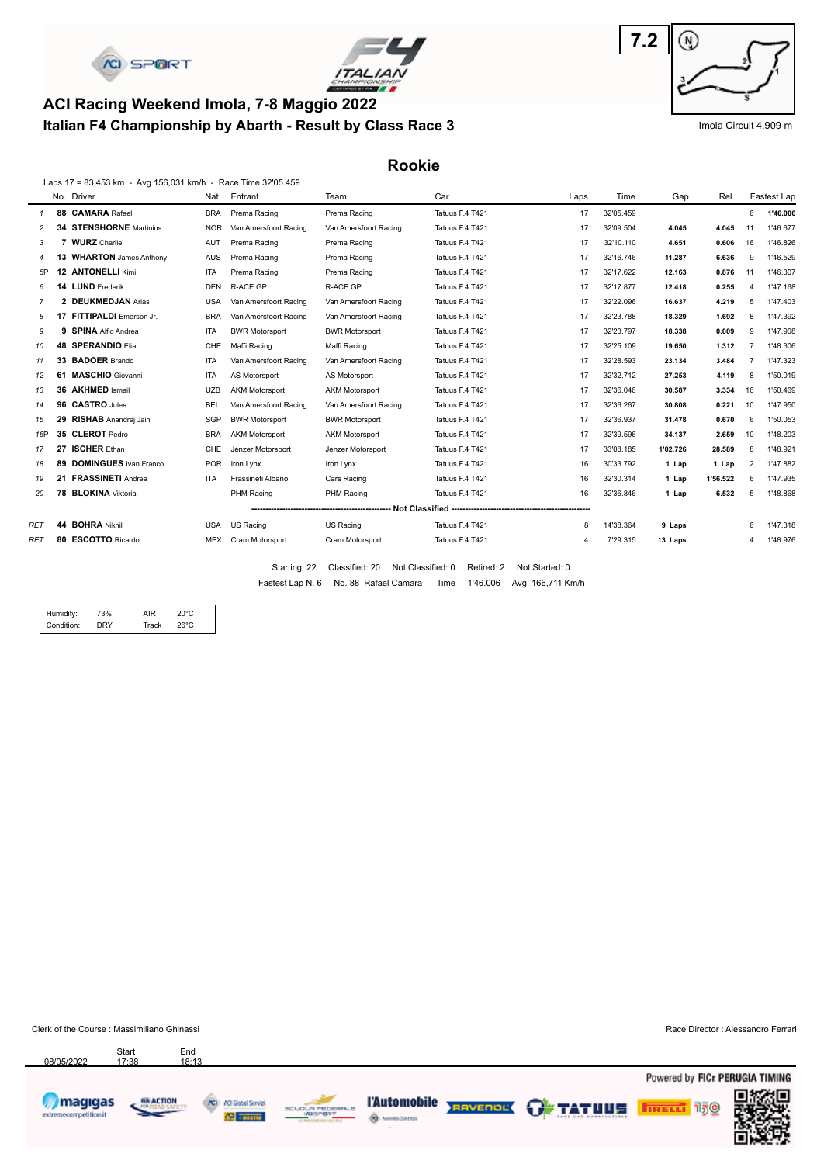



## **Italian F4 Championship by Abarth - Result by Class Race 3 ACI Racing Weekend Imola, 7-8 Maggio 2022**



Imola Circuit 4.909 m

**Rookie**

|                |    | Laps 17 = 83,453 km - Avg 156,031 km/h - Race Time 32'05.459 |            |                       |                       |                 |      |           |          |          |                |             |
|----------------|----|--------------------------------------------------------------|------------|-----------------------|-----------------------|-----------------|------|-----------|----------|----------|----------------|-------------|
|                |    | No. Driver                                                   | Nat        | Entrant               | Team                  | Car             | Laps | Time      | Gap      | Rel.     |                | Fastest Lap |
| $\mathcal I$   |    | 88 CAMARA Rafael                                             | <b>BRA</b> | Prema Racing          | Prema Racing          | Tatuus F.4 T421 | 17   | 32'05.459 |          |          | 6              | 1'46.006    |
|                | 34 | <b>STENSHORNE</b> Martinius                                  | <b>NOR</b> | Van Amersfoort Racing | Van Amersfoort Racing | Tatuus F.4 T421 | 17   | 32'09.504 | 4.045    | 4.045    | 11             | 1'46.677    |
| 3              |    | <b>WURZ</b> Charlie                                          | AUT        | Prema Racing          | Prema Racing          | Tatuus F.4 T421 | 17   | 32'10.110 | 4.651    | 0.606    | 16             | 1'46.826    |
| $\overline{4}$ | 13 | <b>WHARTON</b> James Anthony                                 | <b>AUS</b> | Prema Racing          | Prema Racing          | Tatuus F.4 T421 | 17   | 32'16.746 | 11.287   | 6.636    | 9              | 1'46.529    |
| 5P             | 12 | <b>ANTONELLI Kimi</b>                                        | <b>ITA</b> | Prema Racing          | Prema Racing          | Tatuus F.4 T421 | 17   | 32'17.622 | 12.163   | 0.876    | 11             | 1'46.307    |
| 6              | 14 | <b>LUND</b> Frederik                                         | <b>DEN</b> | <b>R-ACE GP</b>       | R-ACE GP              | Tatuus F.4 T421 | 17   | 32'17.877 | 12.418   | 0.255    |                | 1'47.168    |
| 7              | 2  | <b>DEUKMEDJAN Arias</b>                                      | USA        | Van Amersfoort Racing | Van Amersfoort Racing | Tatuus F.4 T421 | 17   | 32'22.096 | 16.637   | 4.219    | 5              | 1'47.403    |
| 8              | 17 | FITTIPALDI Emerson Jr.                                       | <b>BRA</b> | Van Amersfoort Racing | Van Amersfoort Racing | Tatuus F.4 T421 | 17   | 32'23.788 | 18.329   | 1.692    | 8              | 1'47.392    |
| 9              | 9  | <b>SPINA Alfio Andrea</b>                                    | <b>ITA</b> | <b>BWR Motorsport</b> | <b>BWR Motorsport</b> | Tatuus F.4 T421 | 17   | 32'23.797 | 18.338   | 0.009    | 9              | 1'47.908    |
| 10             |    | 48 SPERANDIO Elia                                            | <b>CHE</b> | Maffi Racing          | Maffi Racing          | Tatuus F.4 T421 | 17   | 32'25.109 | 19.650   | 1.312    |                | 1'48.306    |
| 11             |    | 33 BADOER Brando                                             | ITA        | Van Amersfoort Racing | Van Amersfoort Racing | Tatuus F.4 T421 | 17   | 32'28.593 | 23.134   | 3.484    |                | 1'47.323    |
| 12             |    | 61 MASCHIO Giovanni                                          | <b>ITA</b> | AS Motorsport         | AS Motorsport         | Tatuus F.4 T421 | 17   | 32'32.712 | 27.253   | 4.119    | 8              | 1'50.019    |
| 13             |    | 36 AKHMED Ismail                                             | <b>UZB</b> | <b>AKM Motorsport</b> | <b>AKM Motorsport</b> | Tatuus F.4 T421 | 17   | 32'36.046 | 30.587   | 3.334    | 16             | 1'50.469    |
| 14             |    | 96 CASTRO Jules                                              | <b>BEL</b> | Van Amersfoort Racing | Van Amersfoort Racing | Tatuus F.4 T421 | 17   | 32'36.267 | 30.808   | 0.221    | 10             | 1'47.950    |
| 15             |    | 29 RISHAB Anandraj Jain                                      | SGP        | <b>BWR Motorsport</b> | <b>BWR Motorsport</b> | Tatuus F.4 T421 | 17   | 32'36.937 | 31.478   | 0.670    | 6              | 1'50.053    |
| 16P            |    | 35 CLEROT Pedro                                              | <b>BRA</b> | <b>AKM Motorsport</b> | <b>AKM Motorsport</b> | Tatuus F.4 T421 | 17   | 32'39.596 | 34.137   | 2.659    | 10             | 1'48.203    |
| 17             |    | 27 ISCHER Ethan                                              | <b>CHE</b> | Jenzer Motorsport     | Jenzer Motorsport     | Tatuus F.4 T421 | 17   | 33'08.185 | 1'02.726 | 28.589   | 8              | 1'48.921    |
| 18             |    | 89 DOMINGUES Ivan Franco                                     | <b>POR</b> | Iron Lynx             | Iron Lynx             | Tatuus F.4 T421 | 16   | 30'33.792 | 1 Lap    | 1 Lap    | $\overline{2}$ | 1'47.882    |
| 19             |    | 21 FRASSINETI Andrea                                         | <b>ITA</b> | Frassineti Albano     | Cars Racing           | Tatuus F.4 T421 | 16   | 32'30.314 | 1 Lap    | 1'56.522 | 6              | 1'47.935    |
| 20             |    | 78 BLOKINA Viktoria                                          |            | PHM Racing            | PHM Racing            | Tatuus F.4 T421 | 16   | 32'36.846 | 1 Lap    | 6.532    | 5              | 1'48.868    |
|                |    |                                                              |            |                       |                       |                 |      |           |          |          |                |             |
| RET            |    | 44 BOHRA Nikhil                                              | USA        | US Racing             | US Racing             | Tatuus F.4 T421 | 8    | 14'38.364 | 9 Laps   |          | 6              | 1'47.318    |
| <b>RET</b>     |    | 80 ESCOTTO Ricardo                                           | MEX        | Cram Motorsport       | Cram Motorsport       | Tatuus F.4 T421 | 4    | 7'29.315  | 13 Laps  |          | 4              | 1'48.976    |
|                |    |                                                              |            |                       |                       |                 |      |           |          |          |                |             |

Fastest Lap N. 6 No. 88 Rafael Camara Time 1'46.006 Avg. 166,711 Km/h Starting: 22 Classified: 20 Not Classified: 0 Retired: 2 Not Started: 0

| Condition:<br>nry<br>Track<br>26°C | Humidity: | 73% | ΔIR | 20°C |  |
|------------------------------------|-----------|-----|-----|------|--|
|                                    |           |     |     |      |  |

Clerk of the Course : Massimiliano Ghinassi **Race Director : Alessandro Ferrari** Race Director : Alessandro Ferrari

Start End<br>17:38 18:13



08/05/2022

68 ACTION **CO** ACI Gubal Servizi **All coopers** ₹





TAutomobile RENTALES OF TATULE

Powered by FICr PERUGIA TIMING **FIRELL** 150

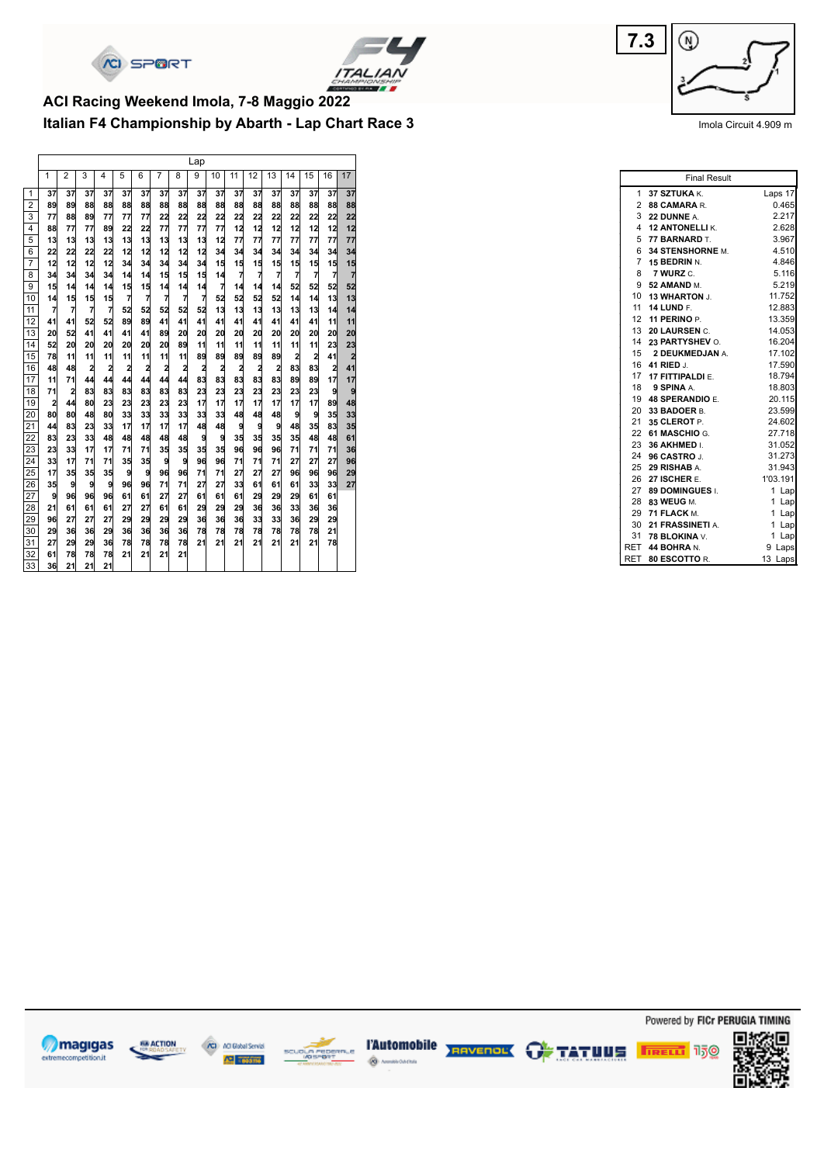



## **Italian F4 Championship by Abarth - Lap Chart Race 3 ACI Racing Weekend Imola, 7-8 Maggio 2022**

| $\overline{2}$<br>3<br>5<br>15<br>17<br>1<br>4<br>6<br>7<br>8<br>9<br>10<br>11<br>12<br>13<br>14<br>16<br>37<br>1<br>37<br>37<br>37<br>37<br>37<br>37<br>37<br>37<br>37<br>37<br>37<br>37<br>37<br>37<br>37<br>37<br>$\overline{2}$<br>88<br>89<br>89<br>88<br>88<br>88<br>88<br>88<br>88<br>88<br>88<br>88<br>88<br>88<br>88<br>88<br>88<br>3<br>22<br>77<br>89<br>77<br>77<br>77<br>22<br>22<br>22<br>22<br>22<br>22<br>22<br>22<br>22<br>22<br>88<br>77<br>77<br>77<br>77<br>12<br>88<br>77<br>77<br>89<br>22<br>22<br>12<br>12<br>12<br>12<br>12<br>12<br>4<br>5<br>13<br>13<br>13<br>13<br>12<br>77<br>77<br>77<br>77<br>77<br>77<br>77<br>13<br>13<br>13<br>13<br>13<br>12<br>12<br>12<br>12<br>12<br>34<br>6<br>22<br>22<br>22<br>22<br>34<br>34<br>34<br>34<br>34<br>34<br>34<br>$\overline{7}$<br>15<br>15<br>15<br>12<br>12<br>12<br>12<br>34<br>34<br>34<br>34<br>15<br>15<br>15<br>15<br>15<br>34<br>$\overline{7}$<br>$\overline{7}$<br>$\overline{7}$<br>$\overline{7}$<br>$\overline{7}$<br>$\overline{7}$<br>$\overline{7}$<br>15<br>15<br>15<br>8<br>34<br>34<br>14<br>14<br>34<br>34<br>14<br>52<br>$\overline{7}$<br>52<br>52<br>52<br>9<br>15<br>15<br>15<br>14<br>14<br>14<br>14<br>14<br>14<br>14<br>14<br>14<br>7<br>7<br>7<br>7<br>$\overline{7}$<br>52<br>52<br>52<br>13<br>52<br>14<br>14<br>13<br>10<br>14<br>15<br>15<br>15<br>7<br>13<br>$\overline{7}$<br>7<br>7<br>52<br>52<br>52<br>52<br>52<br>13<br>13<br>13<br>13<br>13<br>11<br>14<br>14<br>41<br>52<br>41<br>41<br>41<br>41<br>41<br>41<br>12<br>41<br>52<br>89<br>89<br>41<br>41<br>41<br>11<br>11<br>41<br>20<br>13<br>20<br>52<br>41<br>41<br>41<br>89<br>20<br>20<br>20<br>20<br>20<br>20<br>20<br>20<br>20<br>52<br>23<br>14<br>20<br>20<br>20<br>89<br>11<br>11<br>11<br>11<br>11<br>11<br>11<br>23<br>20<br>20<br>20<br>15<br>11<br>89<br>89<br>89<br>89<br>2<br>2<br>$\overline{2}$<br>78<br>11<br>11<br>11<br>11<br>11<br>11<br>89<br>41<br>83<br>$\overline{a}$<br>$\overline{\mathbf{c}}$<br>$\overline{\mathbf{c}}$<br>2<br>83<br>2<br>41<br>16<br>48<br>$\overline{a}$<br>$\overline{2}$<br>$\overline{2}$<br>$\overline{a}$<br>$\overline{\mathbf{c}}$<br>$\overline{\mathbf{c}}$<br>$\overline{\mathbf{c}}$<br>48<br>83<br>83<br>83<br>83<br>83<br>89<br>89<br>17<br>17<br>11<br>71<br>44<br>44<br>44<br>44<br>44<br>44<br>17<br>83<br>23<br>23<br>23<br>23<br>83<br>83<br>83<br>83<br>23<br>23<br>23<br>18<br>71<br>$\overline{\mathbf{c}}$<br>83<br>9<br>9<br>17<br>17<br>17<br>17<br>17<br>17<br>17<br>48<br>19<br>$\overline{a}$<br>80<br>23<br>23<br>23<br>44<br>23<br>23<br>89<br>80<br>33<br>33<br>80<br>80<br>33<br>33<br>33<br>33<br>33<br>48<br>48<br>48<br>9<br>9<br>35<br>20<br>48<br>17<br>48<br>35<br>35<br>33<br>17<br>17<br>17<br>48<br>48<br>9<br>9<br>9<br>83<br>21<br>44<br>83<br>23<br>35<br>35<br>35<br>35<br>83<br>9<br>48<br>61<br>22<br>23<br>33<br>48<br>48<br>48<br>9<br>48<br>48<br>48<br>35<br>96<br>35<br>96<br>23<br>35<br>35<br>96<br>71<br>71<br>36<br>23<br>33<br>17<br>17<br>71<br>71<br>71<br>33<br>9<br>9<br>96<br>96<br>27<br>27<br>27<br>24<br>17<br>35<br>35<br>71<br>71<br>71<br>96<br>71<br>71<br>17<br>9<br>96<br>96<br>27<br>27<br>27<br>25<br>35<br>35<br>35<br>9<br>71<br>71<br>96<br>29<br>96<br>96<br>9<br>71<br>27<br>27<br>35<br>9<br>9<br>96<br>96<br>71<br>27<br>33<br>61<br>61<br>61<br>33<br>33<br>26<br>27<br>9<br>96<br>96<br>96<br>27<br>27<br>61<br>61<br>61<br>61<br>61<br>29<br>29<br>29<br>61<br>61<br>28<br>21<br>36<br>61<br>61<br>61<br>27<br>27<br>61<br>61<br>29<br>29<br>29<br>36<br>33<br>36<br>36<br>29<br>29<br>96<br>27<br>27<br>27<br>29<br>29<br>29<br>29<br>36<br>36<br>36<br>33<br>33<br>36<br>29<br>30<br>36<br>36<br>78<br>78<br>21<br>29<br>36<br>36<br>36<br>36<br>78<br>78<br>78<br>78<br>78<br>29<br>31<br>27<br>29<br>78<br>78<br>78<br>21<br>21<br>21<br>21<br>21<br>21<br>21<br>78<br>29<br>36<br>78<br>32<br>61<br>78<br>21<br>21<br>21<br>21<br>78<br>78 |    |    |    |    |    |  |  | Lap |  |  |  |  |
|---------------------------------------------------------------------------------------------------------------------------------------------------------------------------------------------------------------------------------------------------------------------------------------------------------------------------------------------------------------------------------------------------------------------------------------------------------------------------------------------------------------------------------------------------------------------------------------------------------------------------------------------------------------------------------------------------------------------------------------------------------------------------------------------------------------------------------------------------------------------------------------------------------------------------------------------------------------------------------------------------------------------------------------------------------------------------------------------------------------------------------------------------------------------------------------------------------------------------------------------------------------------------------------------------------------------------------------------------------------------------------------------------------------------------------------------------------------------------------------------------------------------------------------------------------------------------------------------------------------------------------------------------------------------------------------------------------------------------------------------------------------------------------------------------------------------------------------------------------------------------------------------------------------------------------------------------------------------------------------------------------------------------------------------------------------------------------------------------------------------------------------------------------------------------------------------------------------------------------------------------------------------------------------------------------------------------------------------------------------------------------------------------------------------------------------------------------------------------------------------------------------------------------------------------------------------------------------------------------------------------------------------------------------------------------------------------------------------------------------------------------------------------------------------------------------------------------------------------------------------------------------------------------------------------------------------------------------------------------------------------------------------------------------------------------------------------------------------------------------------------------------------------------------------------------------------------------------------------------------------------------------------------------------------------------------------------------------------------------------------------------------------------------------------------------------------------------------------------------------------------------------------------------------------------------------------------------------------------------------------------------------------------------------------------------------------------------------------------------------------------------------------------------------------------------------------------------------------------------------------------------------------------------------------------------------------------|----|----|----|----|----|--|--|-----|--|--|--|--|
|                                                                                                                                                                                                                                                                                                                                                                                                                                                                                                                                                                                                                                                                                                                                                                                                                                                                                                                                                                                                                                                                                                                                                                                                                                                                                                                                                                                                                                                                                                                                                                                                                                                                                                                                                                                                                                                                                                                                                                                                                                                                                                                                                                                                                                                                                                                                                                                                                                                                                                                                                                                                                                                                                                                                                                                                                                                                                                                                                                                                                                                                                                                                                                                                                                                                                                                                                                                                                                                                                                                                                                                                                                                                                                                                                                                                                                                                                                                                                   |    |    |    |    |    |  |  |     |  |  |  |  |
|                                                                                                                                                                                                                                                                                                                                                                                                                                                                                                                                                                                                                                                                                                                                                                                                                                                                                                                                                                                                                                                                                                                                                                                                                                                                                                                                                                                                                                                                                                                                                                                                                                                                                                                                                                                                                                                                                                                                                                                                                                                                                                                                                                                                                                                                                                                                                                                                                                                                                                                                                                                                                                                                                                                                                                                                                                                                                                                                                                                                                                                                                                                                                                                                                                                                                                                                                                                                                                                                                                                                                                                                                                                                                                                                                                                                                                                                                                                                                   |    |    |    |    |    |  |  |     |  |  |  |  |
|                                                                                                                                                                                                                                                                                                                                                                                                                                                                                                                                                                                                                                                                                                                                                                                                                                                                                                                                                                                                                                                                                                                                                                                                                                                                                                                                                                                                                                                                                                                                                                                                                                                                                                                                                                                                                                                                                                                                                                                                                                                                                                                                                                                                                                                                                                                                                                                                                                                                                                                                                                                                                                                                                                                                                                                                                                                                                                                                                                                                                                                                                                                                                                                                                                                                                                                                                                                                                                                                                                                                                                                                                                                                                                                                                                                                                                                                                                                                                   |    |    |    |    |    |  |  |     |  |  |  |  |
|                                                                                                                                                                                                                                                                                                                                                                                                                                                                                                                                                                                                                                                                                                                                                                                                                                                                                                                                                                                                                                                                                                                                                                                                                                                                                                                                                                                                                                                                                                                                                                                                                                                                                                                                                                                                                                                                                                                                                                                                                                                                                                                                                                                                                                                                                                                                                                                                                                                                                                                                                                                                                                                                                                                                                                                                                                                                                                                                                                                                                                                                                                                                                                                                                                                                                                                                                                                                                                                                                                                                                                                                                                                                                                                                                                                                                                                                                                                                                   |    |    |    |    |    |  |  |     |  |  |  |  |
|                                                                                                                                                                                                                                                                                                                                                                                                                                                                                                                                                                                                                                                                                                                                                                                                                                                                                                                                                                                                                                                                                                                                                                                                                                                                                                                                                                                                                                                                                                                                                                                                                                                                                                                                                                                                                                                                                                                                                                                                                                                                                                                                                                                                                                                                                                                                                                                                                                                                                                                                                                                                                                                                                                                                                                                                                                                                                                                                                                                                                                                                                                                                                                                                                                                                                                                                                                                                                                                                                                                                                                                                                                                                                                                                                                                                                                                                                                                                                   |    |    |    |    |    |  |  |     |  |  |  |  |
|                                                                                                                                                                                                                                                                                                                                                                                                                                                                                                                                                                                                                                                                                                                                                                                                                                                                                                                                                                                                                                                                                                                                                                                                                                                                                                                                                                                                                                                                                                                                                                                                                                                                                                                                                                                                                                                                                                                                                                                                                                                                                                                                                                                                                                                                                                                                                                                                                                                                                                                                                                                                                                                                                                                                                                                                                                                                                                                                                                                                                                                                                                                                                                                                                                                                                                                                                                                                                                                                                                                                                                                                                                                                                                                                                                                                                                                                                                                                                   |    |    |    |    |    |  |  |     |  |  |  |  |
|                                                                                                                                                                                                                                                                                                                                                                                                                                                                                                                                                                                                                                                                                                                                                                                                                                                                                                                                                                                                                                                                                                                                                                                                                                                                                                                                                                                                                                                                                                                                                                                                                                                                                                                                                                                                                                                                                                                                                                                                                                                                                                                                                                                                                                                                                                                                                                                                                                                                                                                                                                                                                                                                                                                                                                                                                                                                                                                                                                                                                                                                                                                                                                                                                                                                                                                                                                                                                                                                                                                                                                                                                                                                                                                                                                                                                                                                                                                                                   |    |    |    |    |    |  |  |     |  |  |  |  |
|                                                                                                                                                                                                                                                                                                                                                                                                                                                                                                                                                                                                                                                                                                                                                                                                                                                                                                                                                                                                                                                                                                                                                                                                                                                                                                                                                                                                                                                                                                                                                                                                                                                                                                                                                                                                                                                                                                                                                                                                                                                                                                                                                                                                                                                                                                                                                                                                                                                                                                                                                                                                                                                                                                                                                                                                                                                                                                                                                                                                                                                                                                                                                                                                                                                                                                                                                                                                                                                                                                                                                                                                                                                                                                                                                                                                                                                                                                                                                   |    |    |    |    |    |  |  |     |  |  |  |  |
|                                                                                                                                                                                                                                                                                                                                                                                                                                                                                                                                                                                                                                                                                                                                                                                                                                                                                                                                                                                                                                                                                                                                                                                                                                                                                                                                                                                                                                                                                                                                                                                                                                                                                                                                                                                                                                                                                                                                                                                                                                                                                                                                                                                                                                                                                                                                                                                                                                                                                                                                                                                                                                                                                                                                                                                                                                                                                                                                                                                                                                                                                                                                                                                                                                                                                                                                                                                                                                                                                                                                                                                                                                                                                                                                                                                                                                                                                                                                                   |    |    |    |    |    |  |  |     |  |  |  |  |
|                                                                                                                                                                                                                                                                                                                                                                                                                                                                                                                                                                                                                                                                                                                                                                                                                                                                                                                                                                                                                                                                                                                                                                                                                                                                                                                                                                                                                                                                                                                                                                                                                                                                                                                                                                                                                                                                                                                                                                                                                                                                                                                                                                                                                                                                                                                                                                                                                                                                                                                                                                                                                                                                                                                                                                                                                                                                                                                                                                                                                                                                                                                                                                                                                                                                                                                                                                                                                                                                                                                                                                                                                                                                                                                                                                                                                                                                                                                                                   |    |    |    |    |    |  |  |     |  |  |  |  |
|                                                                                                                                                                                                                                                                                                                                                                                                                                                                                                                                                                                                                                                                                                                                                                                                                                                                                                                                                                                                                                                                                                                                                                                                                                                                                                                                                                                                                                                                                                                                                                                                                                                                                                                                                                                                                                                                                                                                                                                                                                                                                                                                                                                                                                                                                                                                                                                                                                                                                                                                                                                                                                                                                                                                                                                                                                                                                                                                                                                                                                                                                                                                                                                                                                                                                                                                                                                                                                                                                                                                                                                                                                                                                                                                                                                                                                                                                                                                                   |    |    |    |    |    |  |  |     |  |  |  |  |
|                                                                                                                                                                                                                                                                                                                                                                                                                                                                                                                                                                                                                                                                                                                                                                                                                                                                                                                                                                                                                                                                                                                                                                                                                                                                                                                                                                                                                                                                                                                                                                                                                                                                                                                                                                                                                                                                                                                                                                                                                                                                                                                                                                                                                                                                                                                                                                                                                                                                                                                                                                                                                                                                                                                                                                                                                                                                                                                                                                                                                                                                                                                                                                                                                                                                                                                                                                                                                                                                                                                                                                                                                                                                                                                                                                                                                                                                                                                                                   |    |    |    |    |    |  |  |     |  |  |  |  |
|                                                                                                                                                                                                                                                                                                                                                                                                                                                                                                                                                                                                                                                                                                                                                                                                                                                                                                                                                                                                                                                                                                                                                                                                                                                                                                                                                                                                                                                                                                                                                                                                                                                                                                                                                                                                                                                                                                                                                                                                                                                                                                                                                                                                                                                                                                                                                                                                                                                                                                                                                                                                                                                                                                                                                                                                                                                                                                                                                                                                                                                                                                                                                                                                                                                                                                                                                                                                                                                                                                                                                                                                                                                                                                                                                                                                                                                                                                                                                   |    |    |    |    |    |  |  |     |  |  |  |  |
|                                                                                                                                                                                                                                                                                                                                                                                                                                                                                                                                                                                                                                                                                                                                                                                                                                                                                                                                                                                                                                                                                                                                                                                                                                                                                                                                                                                                                                                                                                                                                                                                                                                                                                                                                                                                                                                                                                                                                                                                                                                                                                                                                                                                                                                                                                                                                                                                                                                                                                                                                                                                                                                                                                                                                                                                                                                                                                                                                                                                                                                                                                                                                                                                                                                                                                                                                                                                                                                                                                                                                                                                                                                                                                                                                                                                                                                                                                                                                   |    |    |    |    |    |  |  |     |  |  |  |  |
|                                                                                                                                                                                                                                                                                                                                                                                                                                                                                                                                                                                                                                                                                                                                                                                                                                                                                                                                                                                                                                                                                                                                                                                                                                                                                                                                                                                                                                                                                                                                                                                                                                                                                                                                                                                                                                                                                                                                                                                                                                                                                                                                                                                                                                                                                                                                                                                                                                                                                                                                                                                                                                                                                                                                                                                                                                                                                                                                                                                                                                                                                                                                                                                                                                                                                                                                                                                                                                                                                                                                                                                                                                                                                                                                                                                                                                                                                                                                                   |    |    |    |    |    |  |  |     |  |  |  |  |
|                                                                                                                                                                                                                                                                                                                                                                                                                                                                                                                                                                                                                                                                                                                                                                                                                                                                                                                                                                                                                                                                                                                                                                                                                                                                                                                                                                                                                                                                                                                                                                                                                                                                                                                                                                                                                                                                                                                                                                                                                                                                                                                                                                                                                                                                                                                                                                                                                                                                                                                                                                                                                                                                                                                                                                                                                                                                                                                                                                                                                                                                                                                                                                                                                                                                                                                                                                                                                                                                                                                                                                                                                                                                                                                                                                                                                                                                                                                                                   |    |    |    |    |    |  |  |     |  |  |  |  |
|                                                                                                                                                                                                                                                                                                                                                                                                                                                                                                                                                                                                                                                                                                                                                                                                                                                                                                                                                                                                                                                                                                                                                                                                                                                                                                                                                                                                                                                                                                                                                                                                                                                                                                                                                                                                                                                                                                                                                                                                                                                                                                                                                                                                                                                                                                                                                                                                                                                                                                                                                                                                                                                                                                                                                                                                                                                                                                                                                                                                                                                                                                                                                                                                                                                                                                                                                                                                                                                                                                                                                                                                                                                                                                                                                                                                                                                                                                                                                   |    |    |    |    |    |  |  |     |  |  |  |  |
|                                                                                                                                                                                                                                                                                                                                                                                                                                                                                                                                                                                                                                                                                                                                                                                                                                                                                                                                                                                                                                                                                                                                                                                                                                                                                                                                                                                                                                                                                                                                                                                                                                                                                                                                                                                                                                                                                                                                                                                                                                                                                                                                                                                                                                                                                                                                                                                                                                                                                                                                                                                                                                                                                                                                                                                                                                                                                                                                                                                                                                                                                                                                                                                                                                                                                                                                                                                                                                                                                                                                                                                                                                                                                                                                                                                                                                                                                                                                                   |    |    |    |    |    |  |  |     |  |  |  |  |
|                                                                                                                                                                                                                                                                                                                                                                                                                                                                                                                                                                                                                                                                                                                                                                                                                                                                                                                                                                                                                                                                                                                                                                                                                                                                                                                                                                                                                                                                                                                                                                                                                                                                                                                                                                                                                                                                                                                                                                                                                                                                                                                                                                                                                                                                                                                                                                                                                                                                                                                                                                                                                                                                                                                                                                                                                                                                                                                                                                                                                                                                                                                                                                                                                                                                                                                                                                                                                                                                                                                                                                                                                                                                                                                                                                                                                                                                                                                                                   |    |    |    |    |    |  |  |     |  |  |  |  |
|                                                                                                                                                                                                                                                                                                                                                                                                                                                                                                                                                                                                                                                                                                                                                                                                                                                                                                                                                                                                                                                                                                                                                                                                                                                                                                                                                                                                                                                                                                                                                                                                                                                                                                                                                                                                                                                                                                                                                                                                                                                                                                                                                                                                                                                                                                                                                                                                                                                                                                                                                                                                                                                                                                                                                                                                                                                                                                                                                                                                                                                                                                                                                                                                                                                                                                                                                                                                                                                                                                                                                                                                                                                                                                                                                                                                                                                                                                                                                   |    |    |    |    |    |  |  |     |  |  |  |  |
|                                                                                                                                                                                                                                                                                                                                                                                                                                                                                                                                                                                                                                                                                                                                                                                                                                                                                                                                                                                                                                                                                                                                                                                                                                                                                                                                                                                                                                                                                                                                                                                                                                                                                                                                                                                                                                                                                                                                                                                                                                                                                                                                                                                                                                                                                                                                                                                                                                                                                                                                                                                                                                                                                                                                                                                                                                                                                                                                                                                                                                                                                                                                                                                                                                                                                                                                                                                                                                                                                                                                                                                                                                                                                                                                                                                                                                                                                                                                                   |    |    |    |    |    |  |  |     |  |  |  |  |
|                                                                                                                                                                                                                                                                                                                                                                                                                                                                                                                                                                                                                                                                                                                                                                                                                                                                                                                                                                                                                                                                                                                                                                                                                                                                                                                                                                                                                                                                                                                                                                                                                                                                                                                                                                                                                                                                                                                                                                                                                                                                                                                                                                                                                                                                                                                                                                                                                                                                                                                                                                                                                                                                                                                                                                                                                                                                                                                                                                                                                                                                                                                                                                                                                                                                                                                                                                                                                                                                                                                                                                                                                                                                                                                                                                                                                                                                                                                                                   |    |    |    |    |    |  |  |     |  |  |  |  |
|                                                                                                                                                                                                                                                                                                                                                                                                                                                                                                                                                                                                                                                                                                                                                                                                                                                                                                                                                                                                                                                                                                                                                                                                                                                                                                                                                                                                                                                                                                                                                                                                                                                                                                                                                                                                                                                                                                                                                                                                                                                                                                                                                                                                                                                                                                                                                                                                                                                                                                                                                                                                                                                                                                                                                                                                                                                                                                                                                                                                                                                                                                                                                                                                                                                                                                                                                                                                                                                                                                                                                                                                                                                                                                                                                                                                                                                                                                                                                   |    |    |    |    |    |  |  |     |  |  |  |  |
|                                                                                                                                                                                                                                                                                                                                                                                                                                                                                                                                                                                                                                                                                                                                                                                                                                                                                                                                                                                                                                                                                                                                                                                                                                                                                                                                                                                                                                                                                                                                                                                                                                                                                                                                                                                                                                                                                                                                                                                                                                                                                                                                                                                                                                                                                                                                                                                                                                                                                                                                                                                                                                                                                                                                                                                                                                                                                                                                                                                                                                                                                                                                                                                                                                                                                                                                                                                                                                                                                                                                                                                                                                                                                                                                                                                                                                                                                                                                                   |    |    |    |    |    |  |  |     |  |  |  |  |
|                                                                                                                                                                                                                                                                                                                                                                                                                                                                                                                                                                                                                                                                                                                                                                                                                                                                                                                                                                                                                                                                                                                                                                                                                                                                                                                                                                                                                                                                                                                                                                                                                                                                                                                                                                                                                                                                                                                                                                                                                                                                                                                                                                                                                                                                                                                                                                                                                                                                                                                                                                                                                                                                                                                                                                                                                                                                                                                                                                                                                                                                                                                                                                                                                                                                                                                                                                                                                                                                                                                                                                                                                                                                                                                                                                                                                                                                                                                                                   |    |    |    |    |    |  |  |     |  |  |  |  |
|                                                                                                                                                                                                                                                                                                                                                                                                                                                                                                                                                                                                                                                                                                                                                                                                                                                                                                                                                                                                                                                                                                                                                                                                                                                                                                                                                                                                                                                                                                                                                                                                                                                                                                                                                                                                                                                                                                                                                                                                                                                                                                                                                                                                                                                                                                                                                                                                                                                                                                                                                                                                                                                                                                                                                                                                                                                                                                                                                                                                                                                                                                                                                                                                                                                                                                                                                                                                                                                                                                                                                                                                                                                                                                                                                                                                                                                                                                                                                   |    |    |    |    |    |  |  |     |  |  |  |  |
|                                                                                                                                                                                                                                                                                                                                                                                                                                                                                                                                                                                                                                                                                                                                                                                                                                                                                                                                                                                                                                                                                                                                                                                                                                                                                                                                                                                                                                                                                                                                                                                                                                                                                                                                                                                                                                                                                                                                                                                                                                                                                                                                                                                                                                                                                                                                                                                                                                                                                                                                                                                                                                                                                                                                                                                                                                                                                                                                                                                                                                                                                                                                                                                                                                                                                                                                                                                                                                                                                                                                                                                                                                                                                                                                                                                                                                                                                                                                                   |    |    |    |    |    |  |  |     |  |  |  |  |
|                                                                                                                                                                                                                                                                                                                                                                                                                                                                                                                                                                                                                                                                                                                                                                                                                                                                                                                                                                                                                                                                                                                                                                                                                                                                                                                                                                                                                                                                                                                                                                                                                                                                                                                                                                                                                                                                                                                                                                                                                                                                                                                                                                                                                                                                                                                                                                                                                                                                                                                                                                                                                                                                                                                                                                                                                                                                                                                                                                                                                                                                                                                                                                                                                                                                                                                                                                                                                                                                                                                                                                                                                                                                                                                                                                                                                                                                                                                                                   |    |    |    |    |    |  |  |     |  |  |  |  |
|                                                                                                                                                                                                                                                                                                                                                                                                                                                                                                                                                                                                                                                                                                                                                                                                                                                                                                                                                                                                                                                                                                                                                                                                                                                                                                                                                                                                                                                                                                                                                                                                                                                                                                                                                                                                                                                                                                                                                                                                                                                                                                                                                                                                                                                                                                                                                                                                                                                                                                                                                                                                                                                                                                                                                                                                                                                                                                                                                                                                                                                                                                                                                                                                                                                                                                                                                                                                                                                                                                                                                                                                                                                                                                                                                                                                                                                                                                                                                   |    |    |    |    |    |  |  |     |  |  |  |  |
|                                                                                                                                                                                                                                                                                                                                                                                                                                                                                                                                                                                                                                                                                                                                                                                                                                                                                                                                                                                                                                                                                                                                                                                                                                                                                                                                                                                                                                                                                                                                                                                                                                                                                                                                                                                                                                                                                                                                                                                                                                                                                                                                                                                                                                                                                                                                                                                                                                                                                                                                                                                                                                                                                                                                                                                                                                                                                                                                                                                                                                                                                                                                                                                                                                                                                                                                                                                                                                                                                                                                                                                                                                                                                                                                                                                                                                                                                                                                                   |    |    |    |    |    |  |  |     |  |  |  |  |
|                                                                                                                                                                                                                                                                                                                                                                                                                                                                                                                                                                                                                                                                                                                                                                                                                                                                                                                                                                                                                                                                                                                                                                                                                                                                                                                                                                                                                                                                                                                                                                                                                                                                                                                                                                                                                                                                                                                                                                                                                                                                                                                                                                                                                                                                                                                                                                                                                                                                                                                                                                                                                                                                                                                                                                                                                                                                                                                                                                                                                                                                                                                                                                                                                                                                                                                                                                                                                                                                                                                                                                                                                                                                                                                                                                                                                                                                                                                                                   |    |    |    |    |    |  |  |     |  |  |  |  |
|                                                                                                                                                                                                                                                                                                                                                                                                                                                                                                                                                                                                                                                                                                                                                                                                                                                                                                                                                                                                                                                                                                                                                                                                                                                                                                                                                                                                                                                                                                                                                                                                                                                                                                                                                                                                                                                                                                                                                                                                                                                                                                                                                                                                                                                                                                                                                                                                                                                                                                                                                                                                                                                                                                                                                                                                                                                                                                                                                                                                                                                                                                                                                                                                                                                                                                                                                                                                                                                                                                                                                                                                                                                                                                                                                                                                                                                                                                                                                   |    |    |    |    |    |  |  |     |  |  |  |  |
|                                                                                                                                                                                                                                                                                                                                                                                                                                                                                                                                                                                                                                                                                                                                                                                                                                                                                                                                                                                                                                                                                                                                                                                                                                                                                                                                                                                                                                                                                                                                                                                                                                                                                                                                                                                                                                                                                                                                                                                                                                                                                                                                                                                                                                                                                                                                                                                                                                                                                                                                                                                                                                                                                                                                                                                                                                                                                                                                                                                                                                                                                                                                                                                                                                                                                                                                                                                                                                                                                                                                                                                                                                                                                                                                                                                                                                                                                                                                                   | 33 | 36 | 21 | 21 | 21 |  |  |     |  |  |  |  |



Imola Circuit 4.909 m

|                | <b>Final Result</b> |            |
|----------------|---------------------|------------|
| 1              | 37 SZTUKA K.        | Laps 17    |
| $\overline{2}$ | 88 CAMARA R.        | 0.465      |
| 3              | 22 DUNNE A.         | 2.217      |
| 4              | 12 ANTONELLI K.     | 2.628      |
| 5              | 77 BARNARD T.       | 3.967      |
| 6              | 34 STENSHORNE M.    | 4.510      |
|                | 7 15 BEDRIN N.      | 4.846      |
| 8              | 7 WURZ C.           | 5.116      |
| 9              | 52 AMAND M.         | 5.219      |
|                | 10 13 WHARTON J.    | 11.752     |
| 11             | <b>14 LUND F.</b>   | 12.883     |
| 12             | 11 PERINO P.        | 13.359     |
| 13             | 20 LAURSEN C.       | 14.053     |
| 14             | 23 PARTYSHEV O.     | 16.204     |
| 15             | 2 DEUKMEDJAN A.     | 17.102     |
| 16             | 41 RIED J.          | 17.590     |
| 17             | 17 FITTIPALDI E.    | 18.794     |
| 18             | 9 SPINA A.          | 18.803     |
| 19             | 48 SPERANDIO E.     | 20.115     |
| 20             | 33 BADOER B.        | 23.599     |
| 21             | 35 CLEROT P.        | 24.602     |
|                | 22 61 MASCHIO G.    | 27.718     |
| 23             | 36 AKHMED I.        | 31.052     |
| 24             | 96 CASTRO J.        | 31.273     |
| 25             | 29 RISHAB A         | 31.943     |
| 26             | 27 ISCHER E.        | 1'03.191   |
| 27             | 89 DOMINGUES I.     | 1 Lap      |
| 28             | 83 WEUG M.          | 1<br>Lap   |
| 29             | 71 FLACK M.         | 1<br>Lap   |
| 30             | 21 FRASSINETI A.    | 1<br>Lap   |
| 31             | 78 BLOKINA V.       | 1<br>Lap   |
| <b>RET</b>     | 44 BOHRA N.         | Laps<br>9  |
| RET            | 80 ESCOTTO R.       | 13<br>Laps |

Powered by FICr PERUGIA TIMING















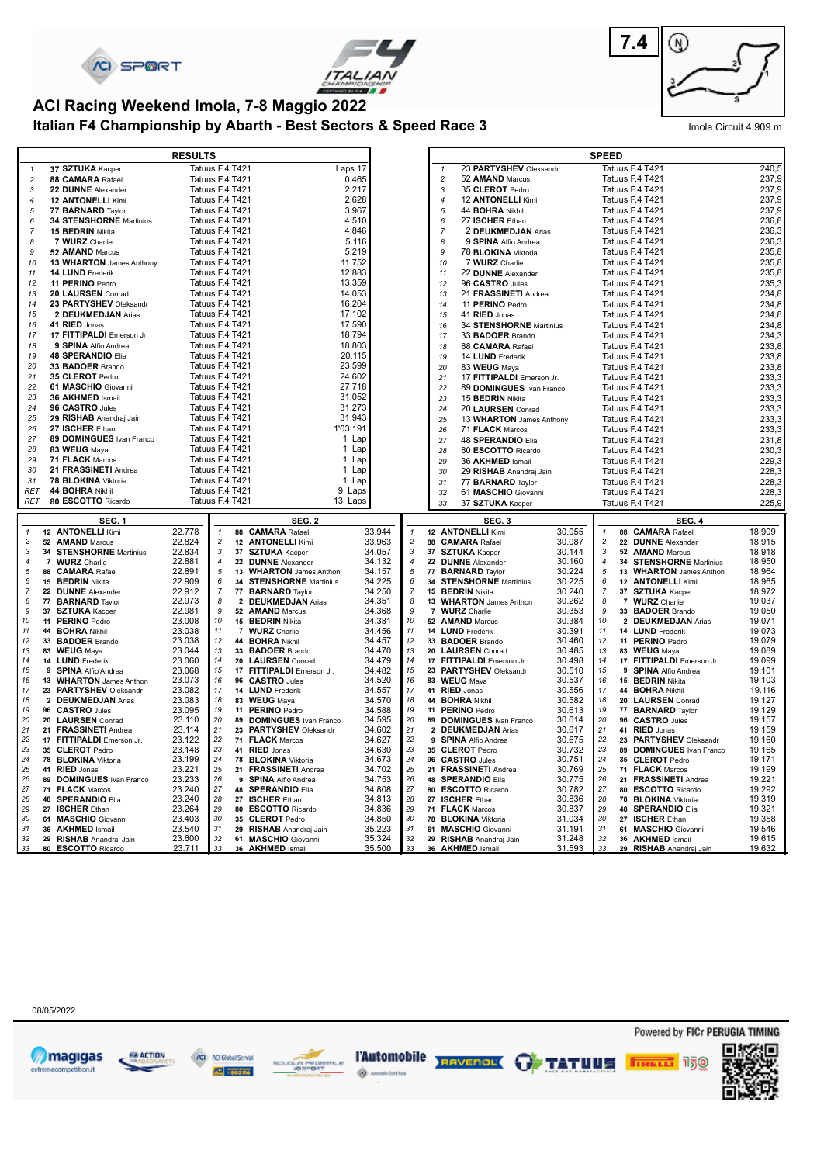





## **Italian F4 Championship by Abarth - Best Sectors & Speed Race 3** Imola Circuit 4.909 m **ACI Racing Weekend Imola, 7-8 Maggio 2022**

|                              |                                                   | <b>RESULTS</b>   |                                    |                                                |                  |                     |                  |                                                    |                  | <b>SPEED</b>        |                                         |                  |
|------------------------------|---------------------------------------------------|------------------|------------------------------------|------------------------------------------------|------------------|---------------------|------------------|----------------------------------------------------|------------------|---------------------|-----------------------------------------|------------------|
| $\mathbf{1}$                 | 37 SZTUKA Kacper                                  |                  | Tatuus F.4 T421                    |                                                | Laps 17          |                     | $\mathbf{1}$     | 23 PARTYSHEV Oleksandr                             |                  |                     | Tatuus F.4 T421                         | 240,5            |
| $\overline{c}$               | 88 CAMARA Rafael                                  |                  | Tatuus F.4 T421                    |                                                | 0.465            |                     | $\overline{c}$   | 52 AMAND Marcus                                    |                  |                     | Tatuus F.4 T421                         | 237,9            |
| 3                            | 22 DUNNE Alexander                                |                  | Tatuus F.4 T421                    |                                                | 2.217            |                     | 3                | 35 CLEROT Pedro                                    |                  |                     | Tatuus F.4 T421                         | 237,9            |
| $\overline{4}$               | <b>12 ANTONELLI Kimi</b>                          |                  | Tatuus F.4 T421                    |                                                | 2.628            |                     | $\boldsymbol{4}$ | 12 ANTONELLI Kimi                                  |                  |                     | Tatuus F.4 T421                         | 237,9            |
| $\sqrt{5}$                   | 77 BARNARD Taylor                                 |                  | Tatuus F.4 T421                    |                                                | 3.967            |                     | 5                | 44 <b>BOHRA</b> Nikhil                             |                  |                     | Tatuus F.4 T421                         | 237,9            |
| 6                            | <b>34 STENSHORNE Martinius</b>                    |                  | Tatuus F.4 T421                    |                                                | 4.510            |                     | 6                | 27 ISCHER Ethan                                    |                  |                     | Tatuus F.4 T421                         | 236,8            |
| $\overline{7}$               | 15 BEDRIN Nikita                                  |                  | Tatuus F.4 T421                    |                                                | 4.846            |                     | $\overline{7}$   | 2 DEUKMEDJAN Arias                                 |                  |                     | Tatuus F.4 T421                         | 236,3            |
| 8<br>9                       | 7 WURZ Charlie                                    |                  | Tatuus F.4 T421                    |                                                | 5.116            |                     | 8<br>9           | 9 SPINA Alfio Andrea<br>78 <b>BLOKINA</b> Viktoria |                  |                     | Tatuus F.4 T421<br>Tatuus F.4 T421      | 236,3<br>235,8   |
| 10                           | 52 AMAND Marcus<br>13 WHARTON James Anthony       |                  | Tatuus F.4 T421<br>Tatuus F.4 T421 |                                                | 5.219<br>11.752  |                     | 10               | 7 WURZ Charlie                                     |                  |                     | Tatuus F.4 T421                         | 235,8            |
| 11                           | 14 LUND Frederik                                  |                  | Tatuus F.4 T421                    |                                                | 12.883           |                     | 11               | 22 DUNNE Alexander                                 |                  |                     | Tatuus F.4 T421                         | 235,8            |
| 12                           | 11 PERINO Pedro                                   |                  | Tatuus F.4 T421                    |                                                | 13.359           |                     | 12               | 96 CASTRO Jules                                    |                  |                     | Tatuus F.4 T421                         | 235,3            |
| 13                           | 20 LAURSEN Conrad                                 |                  | Tatuus F.4 T421                    |                                                | 14.053           |                     | 13               | 21 FRASSINETI Andrea                               |                  |                     | Tatuus F.4 T421                         | 234,8            |
| 14                           | 23 PARTYSHEV Oleksandr                            |                  | Tatuus F.4 T421                    |                                                | 16.204           |                     | 14               | 11 PERINO Pedro                                    |                  |                     | Tatuus F.4 T421                         | 234,8            |
| 15                           | 2 DEUKMEDJAN Arias                                |                  | Tatuus F.4 T421                    |                                                | 17.102           |                     | 15               | 41 RIED Jonas                                      |                  |                     | Tatuus F.4 T421                         | 234,8            |
| 16                           | 41 RIED Jonas                                     |                  | Tatuus F.4 T421                    |                                                | 17.590           |                     | 16               | 34 STENSHORNE Martinius                            |                  |                     | Tatuus F.4 T421                         | 234,8            |
| 17                           | 17 FITTIPALDI Emerson Jr.                         |                  | Tatuus F.4 T421                    |                                                | 18.794           |                     | 17               | 33 BADOER Brando                                   |                  |                     | Tatuus F.4 T421                         | 234,3            |
| 18                           | 9 SPINA Alfio Andrea                              |                  | Tatuus F.4 T421                    |                                                | 18.803           |                     | 18               | 88 CAMARA Rafael                                   |                  |                     | Tatuus F.4 T421                         | 233,8            |
| 19                           | <b>48 SPERANDIO Elia</b>                          |                  | Tatuus F.4 T421                    |                                                | 20.115           |                     | 19               | 14 LUND Frederik                                   |                  |                     | Tatuus F.4 T421                         | 233,8            |
| 20                           | 33 BADOER Brando                                  |                  | Tatuus F.4 T421                    |                                                | 23.599           |                     | 20               | 83 WEUG Maya                                       |                  |                     | Tatuus F.4 T421                         | 233,8            |
| 21                           | 35 CLEROT Pedro                                   |                  | Tatuus F.4 T421                    |                                                | 24.602           |                     | 21               | 17 FITTIPALDI Emerson Jr.                          |                  |                     | Tatuus F.4 T421                         | 233,3            |
| 22                           | 61 MASCHIO Giovanni                               |                  | Tatuus F.4 T421                    |                                                | 27.718           |                     | 22               | 89 DOMINGUES Ivan Franco                           |                  |                     | Tatuus F.4 T421                         | 233,3            |
| 23                           | 36 AKHMED Ismail                                  |                  | Tatuus F.4 T421                    |                                                | 31.052           |                     | 23               | 15 <b>BEDRIN</b> Nikita                            |                  |                     | Tatuus F.4 T421                         | 233,3            |
| 24<br>25                     | 96 CASTRO Jules<br>29 RISHAB Anandraj Jain        |                  | Tatuus F.4 T421<br>Tatuus F.4 T421 |                                                | 31.273<br>31.943 |                     | 24               | 20 LAURSEN Conrad                                  |                  |                     | Tatuus F.4 T421                         | 233,3            |
| 26                           | 27 ISCHER Ethan                                   |                  | Tatuus F.4 T421                    |                                                | 1'03.191         |                     | 25<br>26         | 13 WHARTON James Anthony                           |                  |                     | Tatuus F.4 T421<br>Tatuus F.4 T421      | 233,3<br>233,3   |
| 27                           | 89 DOMINGUES Ivan Franco                          |                  | Tatuus F.4 T421                    |                                                | 1 Lap            |                     | 27               | 71 FLACK Marcos<br>48 SPERANDIO Elia               |                  |                     | Tatuus F.4 T421                         | 231,8            |
| 28                           | 83 WEUG Maya                                      |                  | Tatuus F.4 T421                    |                                                | 1 Lap            |                     | 28               | 80 ESCOTTO Ricardo                                 |                  |                     | Tatuus F.4 T421                         | 230,3            |
| 29                           | 71 FLACK Marcos                                   |                  | Tatuus F.4 T421                    |                                                | 1 Lap            |                     | 29               | 36 AKHMED Ismail                                   |                  |                     | Tatuus F.4 T421                         | 229,3            |
| 30                           | 21 FRASSINETI Andrea                              |                  | Tatuus F.4 T421                    |                                                | 1 Lap            |                     | 30               | 29 RISHAB Anandraj Jain                            |                  |                     | Tatuus F.4 T421                         | 228,3            |
| 31                           | 78 BLOKINA Viktoria                               |                  | Tatuus F.4 T421                    |                                                | 1 Lap            |                     | 31               | 77 <b>BARNARD</b> Taylor                           |                  |                     | Tatuus F.4 T421                         | 228,3            |
| <b>RET</b>                   | 44 BOHRA Nikhil                                   |                  | Tatuus F.4 T421                    |                                                | 9 Laps           |                     | 32               | 61 MASCHIO Giovanni                                |                  |                     | Tatuus F.4 T421                         | 228,3            |
|                              |                                                   |                  |                                    |                                                |                  |                     |                  |                                                    |                  |                     |                                         |                  |
| RET                          | 80 ESCOTTO Ricardo                                | Tatuus F.4 T421  |                                    |                                                | 13 Laps          |                     | 33               | 37 SZTUKA Kacper                                   |                  |                     | Tatuus F.4 T421                         | 225,9            |
|                              | <b>SEG. 1</b>                                     |                  |                                    | <b>SEG. 2</b>                                  |                  |                     |                  | SEG.3                                              |                  |                     | SEG. 4                                  |                  |
| $\mathbf{1}$                 | 12 ANTONELLI Kimi                                 | 22.778           | $\mathbf{1}$                       | 88 CAMARA Rafael                               | 33.944           | $\mathbf{1}$        |                  | 12 ANTONELLI Kimi                                  | 30.055           | $\mathbf{1}$        | 88 CAMARA Rafael                        | 18.909           |
| $\overline{c}$               | 52 AMAND Marcus                                   | 22.824           | $\overline{c}$                     | 12 ANTONELLI Kimi                              | 33.963           | $\overline{c}$      |                  | 88 CAMARA Rafael                                   | 30.087           | $\overline{c}$      | 22 DUNNE Alexander                      | 18.915           |
| 3                            | 34 STENSHORNE Martinius                           | 22.834           | 3                                  | 37 SZTUKA Kacper                               | 34.057           | 3                   |                  | 37 SZTUKA Kacper                                   | 30.144           | 3                   | 52 AMAND Marcus                         | 18.918           |
| $\overline{4}$               | 7 WURZ Charlie                                    | 22.881           | $\overline{4}$                     | 22 DUNNE Alexander                             | 34.132           | $\overline{4}$      |                  | 22 DUNNE Alexander                                 | 30.160           | $\overline{4}$      | 34 STENSHORNE Martinius                 | 18.950           |
| $\sqrt{5}$                   | 88 CAMARA Rafael                                  | 22.891           | 5                                  | 13 WHARTON James Anthon                        | 34.157           | $\sqrt{5}$          |                  | 77 <b>BARNARD</b> Taylor                           | 30.224           | 5                   | 13 WHARTON James Anthon                 | 18.964           |
| $\epsilon$<br>$\overline{7}$ | 15 BEDRIN Nikita                                  | 22.909           | 6<br>$\overline{7}$                | 34 STENSHORNE Martinius                        | 34.225           | 6<br>$\overline{7}$ |                  | 34 STENSHORNE Martinius                            | 30.225           | 6<br>$\overline{7}$ | 12 ANTONELLI Kimi                       | 18.965           |
| 8                            | 22 DUNNE Alexander<br>77 <b>BARNARD</b> Taylor    | 22.912<br>22.973 | 8                                  | 77 <b>BARNARD</b> Taylor<br>2 DEUKMEDJAN Arias | 34.250<br>34.351 | 8                   |                  | 15 <b>BEDRIN</b> Nikita<br>13 WHARTON James Anthon | 30.240<br>30.262 | 8                   | 37 SZTUKA Kacper<br>7 WURZ Charlie      | 18.972<br>19.037 |
| 9                            | 37 SZTUKA Kacper                                  | 22.981           | 9                                  | 52 AMAND Marcus                                | 34.368           | 9                   |                  | 7 WURZ Charlie                                     | 30.353           | 9                   | 33 BADOER Brando                        | 19.050           |
| 10                           | 11 PERINO Pedro                                   | 23.008           | 10                                 | 15 <b>BEDRIN</b> Nikita                        | 34.381           | 10                  |                  | 52 AMAND Marcus                                    | 30.384           | 10                  | 2 DEUKMEDJAN Arias                      | 19.071           |
| 11                           | 44 BOHRA Nikhil                                   | 23.038           | 11                                 | 7 WURZ Charlie                                 | 34.456           | 11                  |                  | 14 LUND Frederik                                   | 30.391           | 11                  | 14 LUND Frederik                        | 19.073           |
| 12                           | 33 BADOER Brando                                  | 23.038           | $12\,$                             | 44 BOHRA Nikhil                                | 34.457           | 12                  |                  | 33 BADOER Brando                                   | 30.460           | 12                  | 11 PERINO Pedro                         | 19.079           |
| 13                           | 83 WEUG Maya                                      | 23.044           | 13                                 | 33 BADOER Brando                               | 34.470           | 13                  |                  | 20 LAURSEN Conrad                                  | 30.485           | 13                  | 83 WEUG Maya                            | 19.089           |
| 14<br>15                     | 14 LUND Frederik                                  | 23.060           | 14<br>15                           | 20 LAURSEN Conrad                              | 34.479           | 14<br>15            |                  | 17 FITTIPALDI Emerson Jr.                          | 30.498           | 14<br>15            | 17 FITTIPALDI Emerson Jr.               | 19.099           |
| 16                           | 9 SPINA Alfio Andrea                              | 23.068           | 16                                 | 17 FITTIPALDI Emerson Jr.                      | 34.482           | 16                  |                  | 23 PARTYSHEV Oleksandr                             | 30.510           | 16                  | 9 SPINA Alfio Andrea                    | 19.101<br>19.103 |
| 17                           | 13 WHARTON James Anthon<br>23 PARTYSHEV Oleksandr | 23.073<br>23.082 | 17                                 | 96 CASTRO Jules<br>14 LUND Frederik            | 34.520<br>34.557 | 17                  |                  | 83 WEUG Maya<br>41 RIED Jonas                      | 30.537<br>30.556 | 17                  | 15 BEDRIN Nikita<br>44 BOHRA Nikhil     | 19.116           |
| 18                           | 2 DEUKMEDJAN Arias                                | 23.083           | 18                                 | 83 WEUG Mava                                   | 34.570           | 18                  |                  | 44 BOHRA Nikhil                                    | 30.582           | 18                  | 20 LAURSEN Conrad                       | 19.127           |
| 19                           | 96 CASTRO Jules                                   | 23.095           | 19                                 | 11 PERINO Pedro                                | 34.588           | 19                  |                  | 11 PERINO Pedro                                    | 30.613           | 19                  | 77 BARNARD Taylor                       | 19.129           |
| 20                           | 20 LAURSEN Conrad                                 | 23.110           | 20                                 | 89 DOMINGUES Ivan Franco                       | 34.595           | 20                  |                  | 89 DOMINGUES Ivan Franco                           | 30.614           | 20                  | 96 CASTRO Jules                         | 19.157           |
| 21                           | 21 FRASSINETI Andrea                              | 23.114           | 21                                 | 23 PARTYSHEV Oleksandr                         | 34.602           | 21                  |                  | 2 DEUKMEDJAN Arias                                 | 30.617           | 21                  | 41 RIED Jonas                           | 19.159           |
| 22                           | 17 FITTIPALDI Emerson Jr.                         | 23.122           | 22                                 | 71 FLACK Marcos                                | 34.627           | 22                  |                  | 9 SPINA Alfio Andrea                               | 30.675           | 22                  | 23 PARTYSHEV Oleksandr                  | 19.160           |
| 23<br>24                     | 35 CLEROT Pedro<br>78 BLOKINA Viktoria            | 23.148           | 23<br>24                           | 41 RIED Jonas                                  | 34.630           | 23<br>24            |                  | 35 CLEROT Pedro<br>96 CASTRO Jules                 | 30.732           | 23<br>24            | 89 DOMINGUES Ivan Franco                | 19.165<br>19.171 |
| 25                           | 41 RIED Jonas                                     | 23.199<br>23.221 | 25                                 | 78 BLOKINA Viktoria<br>21 FRASSINETI Andrea    | 34.673<br>34.702 | 25                  |                  | 21 FRASSINETI Andrea                               | 30.751<br>30.769 | 25                  | 35 CLEROT Pedro<br>71 FLACK Marcos      | 19.199           |
| 26                           | 89 DOMINGUES Ivan Franco                          | 23.233           | 26                                 | 9 SPINA Alfio Andrea                           | 34.753           | 26                  |                  | 48 SPERANDIO Elia                                  | 30.775           | 26                  | 21 FRASSINETI Andrea                    | 19.221           |
| 27                           | 71 FLACK Marcos                                   | 23.240           | 27                                 | 48 SPERANDIO Elia                              | 34.808           | $27\,$              |                  | 80 ESCOTTO Ricardo                                 | 30.782           | 27                  | 80 ESCOTTO Ricardo                      | 19.292           |
| 28                           | 48 SPERANDIO Elia                                 | 23.240           | 28                                 | 27 ISCHER Ethan                                | 34.813           | 28                  |                  | 27 ISCHER Ethan                                    | 30.836           | 28                  | 78 BLOKINA Viktoria                     | 19.319           |
| 29                           | 27 ISCHER Ethan                                   | 23.264           | 29                                 | 80 ESCOTTO Ricardo                             | 34.836           | 29                  |                  | 71 FLACK Marcos                                    | 30.837           | 29                  | 48 SPERANDIO Elia                       | 19.321           |
| 30                           | 61 MASCHIO Giovanni                               | 23.403           | 30                                 | 35 CLEROT Pedro                                | 34.850           | 30                  |                  | 78 BLOKINA Viktoria                                | 31.034           | 30                  | 27 ISCHER Ethan                         | 19.358           |
| 31<br>32                     | 36 AKHMED Ismail<br>29 RISHAB Anandraj Jain       | 23.540<br>23.600 | 31<br>32                           | 29 RISHAB Anandraj Jain<br>61 MASCHIO Giovanni | 35.223<br>35.324 | 31<br>32            |                  | 61 MASCHIO Giovanni<br>29 RISHAB Anandraj Jain     | 31.191<br>31.248 | 31<br>32            | 61 MASCHIO Giovanni<br>36 AKHMED Ismail | 19.546<br>19.615 |

08/05/2022











Powered by FICr PERUGIA TIMING

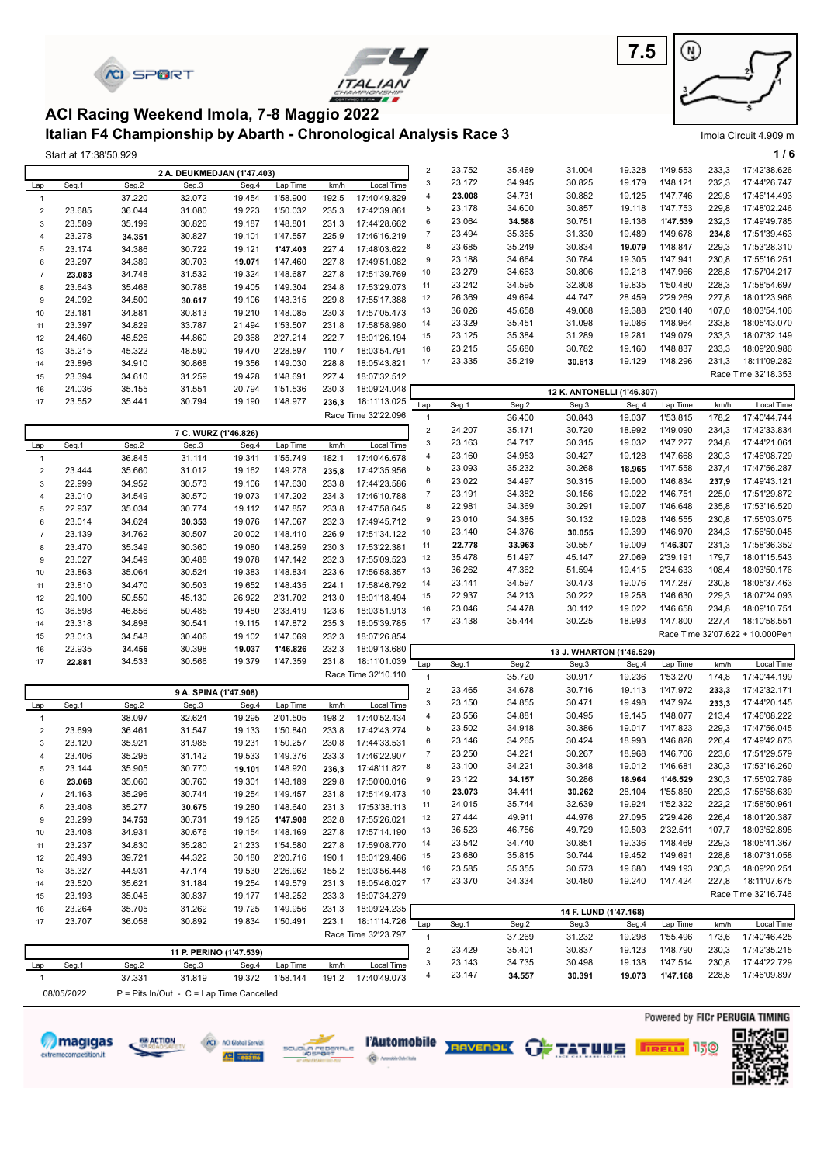|                                |                       | <b>CI SPORT</b>  |                                                                                                                |                  |                      |                | ITALIAN                      |                             |                  |                  |                            |                  |                      |                | 21                              |
|--------------------------------|-----------------------|------------------|----------------------------------------------------------------------------------------------------------------|------------------|----------------------|----------------|------------------------------|-----------------------------|------------------|------------------|----------------------------|------------------|----------------------|----------------|---------------------------------|
|                                |                       |                  | ACI Racing Weekend Imola, 7-8 Maggio 2022<br>Italian F4 Championship by Abarth - Chronological Analysis Race 3 |                  |                      |                |                              |                             |                  |                  |                            |                  |                      |                | Imola Circuit 4.909 m           |
|                                | Start at 17:38'50.929 |                  |                                                                                                                |                  |                      |                |                              |                             |                  |                  |                            |                  |                      |                | 1/6                             |
|                                |                       |                  | 2 A. DEUKMEDJAN (1'47.403)                                                                                     |                  |                      |                |                              | $\sqrt{2}$                  | 23.752           | 35.469           | 31.004                     | 19.328           | 1'49.553             | 233,3          | 17:42'38.626                    |
| Lap                            | Seg.1                 | Seg.2            | Seg.3                                                                                                          | Seg.4            | Lap Time             | km/h           | Local Time                   | $\ensuremath{\mathsf{3}}$   | 23.172           | 34.945           | 30.825                     | 19.179           | 1'48.121             | 232,3          | 17:44'26.747                    |
| $\mathbf{1}$                   |                       | 37.220           | 32.072                                                                                                         | 19.454           | 1'58.900             | 192,5          | 17:40'49.829                 | $\overline{4}$              | 23.008           | 34.731           | 30.882                     | 19.125           | 1'47.746             | 229,8          | 17:46'14.493                    |
| $\mathbf 2$                    | 23.685                | 36.044           | 31.080                                                                                                         | 19.223           | 1'50.032             | 235,3          | 17:42'39.861                 | 5                           | 23.178           | 34.600           | 30.857                     | 19.118           | 1'47.753             | 229,8          | 17:48'02.246                    |
| 3                              | 23.589                | 35.199           | 30.826                                                                                                         | 19.187           | 1'48.801             | 231,3          | 17:44'28.662                 | 6                           | 23.064           | 34.588           | 30.751                     | 19.136           | 1'47.539             | 232,3          | 17:49'49.785                    |
| $\overline{4}$                 | 23.278                | 34.351           | 30.827                                                                                                         | 19.101           | 1'47.557             | 225,9          | 17:46'16.219                 | $\overline{7}$<br>8         | 23.494<br>23.685 | 35.365<br>35.249 | 31.330<br>30.834           | 19.489<br>19.079 | 1'49.678<br>1'48.847 | 234,8<br>229,3 | 17:51'39.463<br>17:53'28.310    |
| 5<br>6                         | 23.174                | 34.386           | 30.722                                                                                                         | 19.121           | 1'47.403             | 227,4          | 17:48'03.622<br>17:49'51.082 | 9                           | 23.188           | 34.664           | 30.784                     | 19.305           | 1'47.941             | 230,8          | 17:55'16.251                    |
| $\overline{7}$                 | 23.297<br>23.083      | 34.389<br>34.748 | 30.703<br>31.532                                                                                               | 19.071<br>19.324 | 1'47.460<br>1'48.687 | 227,8<br>227,8 | 17:51'39.769                 | 10                          | 23.279           | 34.663           | 30.806                     | 19.218           | 1'47.966             | 228,8          | 17:57'04.217                    |
| 8                              | 23.643                | 35.468           | 30.788                                                                                                         | 19.405           | 1'49.304             | 234,8          | 17:53'29.073                 | 11                          | 23.242           | 34.595           | 32.808                     | 19.835           | 1'50.480             | 228,3          | 17:58'54.697                    |
| 9                              | 24.092                | 34.500           | 30.617                                                                                                         | 19.106           | 1'48.315             | 229,8          | 17:55'17.388                 | 12                          | 26.369           | 49.694           | 44.747                     | 28.459           | 2'29.269             | 227,8          | 18:01'23.966                    |
| 10                             | 23.181                | 34.881           | 30.813                                                                                                         | 19.210           | 1'48.085             | 230,3          | 17:57'05.473                 | 13                          | 36.026           | 45.658           | 49.068                     | 19.388           | 2'30.140             | 107,0          | 18:03'54.106                    |
| 11                             | 23.397                | 34.829           | 33.787                                                                                                         | 21.494           | 1'53.507             | 231,8          | 17:58'58.980                 | 14                          | 23.329           | 35.451           | 31.098                     | 19.086           | 1'48.964             | 233,8          | 18:05'43.070                    |
| 12                             | 24.460                | 48.526           | 44.860                                                                                                         | 29.368           | 2'27.214             | 222,7          | 18:01'26.194                 | 15                          | 23.125           | 35.384           | 31.289                     | 19.281           | 1'49.079             | 233,3          | 18:07'32.149                    |
| 13                             | 35.215                | 45.322           | 48.590                                                                                                         | 19.470           | 2'28.597             | 110,7          | 18:03'54.791                 | 16                          | 23.215           | 35.680           | 30.782                     | 19.160           | 1'48.837             | 233,3          | 18:09'20.986                    |
| 14                             | 23.896                | 34.910           | 30.868                                                                                                         | 19.356           | 1'49.030             | 228,8          | 18:05'43.821                 | 17                          | 23.335           | 35.219           | 30.613                     | 19.129           | 1'48.296             | 231,3          | 18:11'09.282                    |
| 15                             | 23.394                | 34.610           | 31.259                                                                                                         | 19.428           | 1'48.691             | 227,4          | 18:07'32.512                 |                             |                  |                  |                            |                  |                      |                | Race Time 32'18.353             |
| 16<br>17                       | 24.036<br>23.552      | 35.155<br>35.441 | 31.551<br>30.794                                                                                               | 20.794<br>19.190 | 1'51.536<br>1'48.977 | 230,3<br>236,3 | 18:09'24.048<br>18:11'13.025 |                             |                  |                  | 12 K. ANTONELLI (1'46.307) |                  |                      |                |                                 |
|                                |                       |                  |                                                                                                                |                  |                      |                | Race Time 32'22.096          | Lap                         | Seg.1            | Seg.2            | Seg.3                      | Seg.4            | Lap Time             | km/h           | Local Time<br>17:40'44.744      |
|                                |                       |                  |                                                                                                                |                  |                      |                |                              | $\mathbf{1}$<br>$\mathbf 2$ | 24.207           | 36.400<br>35.171 | 30.843<br>30.720           | 19.037<br>18.992 | 1'53.815<br>1'49.090 | 178,2<br>234,3 | 17:42'33.834                    |
|                                |                       |                  | 7 C. WURZ (1'46.826)                                                                                           | Seg.4            |                      |                | Local Time                   | $\ensuremath{\mathsf{3}}$   | 23.163           | 34.717           | 30.315                     | 19.032           | 1'47.227             | 234,8          | 17:44'21.061                    |
| Lap<br>$\mathbf{1}$            | Seg.1                 | Seg.2<br>36.845  | Seg.3<br>31.114                                                                                                | 19.341           | Lap Time<br>1'55.749 | km/h<br>182,1  | 17:40'46.678                 | $\overline{4}$              | 23.160           | 34.953           | 30.427                     | 19.128           | 1'47.668             | 230,3          | 17:46'08.729                    |
| $\overline{2}$                 | 23.444                | 35.660           | 31.012                                                                                                         | 19.162           | 1'49.278             | 235,8          | 17:42'35.956                 | 5                           | 23.093           | 35.232           | 30.268                     | 18.965           | 1'47.558             | 237,4          | 17:47'56.287                    |
| 3                              | 22.999                | 34.952           | 30.573                                                                                                         | 19.106           | 1'47.630             | 233,8          | 17:44'23.586                 | 6                           | 23.022           | 34.497           | 30.315                     | 19.000           | 1'46.834             | 237,9          | 17:49'43.121                    |
| $\overline{4}$                 | 23.010                | 34.549           | 30.570                                                                                                         | 19.073           | 1'47.202             | 234,3          | 17:46'10.788                 | $\overline{7}$              | 23.191           | 34.382           | 30.156                     | 19.022           | 1'46.751             | 225,0          | 17:51'29.872                    |
| 5                              | 22.937                | 35.034           | 30.774                                                                                                         | 19.112           | 1'47.857             | 233,8          | 17:47'58.645                 | 8                           | 22.981           | 34.369           | 30.291                     | 19.007           | 1'46.648             | 235,8          | 17:53'16.520                    |
| 6                              | 23.014                | 34.624           | 30.353                                                                                                         | 19.076           | 1'47.067             | 232,3          | 17:49'45.712                 | 9                           | 23.010           | 34.385           | 30.132                     | 19.028           | 1'46.555             | 230,8          | 17:55'03.075                    |
| $\overline{7}$                 | 23.139                | 34.762           | 30.507                                                                                                         | 20.002           | 1'48.410             | 226,9          | 17:51'34.122                 | 10                          | 23.140           | 34.376           | 30.055                     | 19.399           | 1'46.970             | 234,3          | 17:56'50.045                    |
| 8                              | 23.470                | 35.349           | 30.360                                                                                                         | 19.080           | 1'48.259             | 230,3          | 17:53'22.381                 | 11<br>12                    | 22.778<br>35.478 | 33.963<br>51.497 | 30.557<br>45.147           | 19.009<br>27.069 | 1'46.307<br>2'39.191 | 231,3<br>179,7 | 17:58'36.352<br>18:01'15.543    |
| 9<br>10                        | 23.027<br>23.863      | 34.549<br>35.064 | 30.488<br>30.524                                                                                               | 19.078<br>19.383 | 1'47.142<br>1'48.834 | 232,3<br>223,6 | 17:55'09.523<br>17:56'58.357 | 13                          | 36.262           | 47.362           | 51.594                     | 19.415           | 2'34.633             | 108,4          | 18:03'50.176                    |
| 11                             | 23.810                | 34.470           | 30.503                                                                                                         | 19.652           | 1'48.435             | 224,1          | 17:58'46.792                 | 14                          | 23.141           | 34.597           | 30.473                     | 19.076           | 1'47.287             | 230,8          | 18:05'37.463                    |
| 12                             | 29.100                | 50.550           | 45.130                                                                                                         | 26.922           | 2'31.702             | 213,0          | 18:01'18.494                 | 15                          | 22.937           | 34.213           | 30.222                     | 19.258           | 1'46.630             | 229,3          | 18:07'24.093                    |
| 13                             | 36.598                | 46.856           | 50.485                                                                                                         | 19.480           | 2'33.419             | 123,6          | 18:03'51.913                 | 16                          | 23.046           | 34.478           | 30.112                     | 19.022           | 1'46.658             | 234,8          | 18:09'10.751                    |
| 14                             | 23.318                | 34.898           | 30.541                                                                                                         | 19.115           | 1'47.872             | 235,3          | 18:05'39.785                 | 17                          | 23.138           | 35.444           | 30.225                     | 18.993           | 1'47.800             | 227,4          | 18:10'58.551                    |
| 15                             | 23.013                | 34.548           | 30.406                                                                                                         | 19.102           | 1'47.069             | 232,3          | 18:07'26.854                 |                             |                  |                  |                            |                  |                      |                | Race Time 32'07.622 + 10.000Pen |
| 16                             | 22.935                | 34.456           | 30.398                                                                                                         | 19.037           | 1'46.826             | 232,3          | 18:09'13.680                 |                             |                  |                  | 13 J. WHARTON (1'46.529)   |                  |                      |                |                                 |
| 17                             | 22.881                | 34.533           | 30.566                                                                                                         | 19.379           | 1'47.359             | 231,8          | 18:11'01.039                 | Lap                         | Seg.1            | Seg.2            | Seg.3                      | Seg.4            | Lap Time             | km/h           | Local Time                      |
|                                |                       |                  |                                                                                                                |                  |                      |                | Race Time 32'10.110          | $\overline{1}$              |                  | 35.720           | 30.917                     | 19.236           | 1'53.270             | 174,8          | 17:40'44.199                    |
|                                |                       |                  | 9 A. SPINA (1'47.908)                                                                                          |                  |                      |                |                              | $\boldsymbol{2}$            | 23.465           | 34.678           | 30.716                     | 19.113           | 1'47.972             | 233,3          | 17:42'32.171                    |
| Lap                            | Seg.1                 | Seg.2            | Seg.3                                                                                                          | Seg.4            | Lap Time             | km/h           | Local Time                   | 3                           | 23.150           | 34.855           | 30.471                     | 19.498           | 1'47.974             | 233,3          | 17:44'20.145                    |
| $\mathbf{1}$                   |                       | 38.097           | 32.624                                                                                                         | 19.295           | 2'01.505             | 198,2          | 17:40'52.434                 | 4                           | 23.556           | 34.881           | 30.495                     | 19.145           | 1'48.077             | 213,4          | 17:46'08.222                    |
| $\sqrt{2}$                     | 23.699                | 36.461           | 31.547                                                                                                         | 19.133           | 1'50.840             | 233,8          | 17:42'43.274                 | 5<br>6                      | 23.502<br>23.146 | 34.918<br>34.265 | 30.386<br>30.424           | 19.017<br>18.993 | 1'47.823<br>1'46.828 | 229,3<br>226,4 | 17:47'56.045<br>17:49'42.873    |
| $\ensuremath{\mathsf{3}}$<br>4 | 23.120<br>23.406      | 35.921<br>35.295 | 31.985<br>31.142                                                                                               | 19.231<br>19.533 | 1'50.257<br>1'49.376 | 230,8<br>233,3 | 17:44'33.531<br>17:46'22.907 | $\boldsymbol{7}$            | 23.250           | 34.221           | 30.267                     | 18.968           | 1'46.706             | 223,6          | 17:51'29.579                    |
| 5                              | 23.144                | 35.905           | 30.770                                                                                                         | 19.101           | 1'48.920             | 236,3          | 17:48'11.827                 | 8                           | 23.100           | 34.221           | 30.348                     | 19.012           | 1'46.681             | 230,3          | 17:53'16.260                    |
| 6                              | 23.068                | 35.060           | 30.760                                                                                                         | 19.301           | 1'48.189             | 229,8          | 17:50'00.016                 | 9                           | 23.122           | 34.157           | 30.286                     | 18.964           | 1'46.529             | 230,3          | 17:55'02.789                    |
| $\boldsymbol{7}$               | 24.163                | 35.296           | 30.744                                                                                                         | 19.254           | 1'49.457             | 231,8          | 17:51'49.473                 | 10                          | 23.073           | 34.411           | 30.262                     | 28.104           | 1'55.850             | 229,3          | 17:56'58.639                    |
| 8                              | 23.408                | 35.277           | 30.675                                                                                                         | 19.280           | 1'48.640             | 231,3          | 17:53'38.113                 | 11                          | 24.015           | 35.744           | 32.639                     | 19.924           | 1'52.322             | 222,2          | 17:58'50.961                    |
| 9                              | 23.299                | 34.753           | 30.731                                                                                                         | 19.125           | 1'47.908             | 232,8          | 17:55'26.021                 | 12                          | 27.444           | 49.911           | 44.976                     | 27.095           | 2'29.426             | 226,4          | 18:01'20.387                    |
| 10                             | 23.408                | 34.931           | 30.676                                                                                                         | 19.154           | 1'48.169             | 227,8          | 17:57'14.190                 | 13                          | 36.523           | 46.756           | 49.729                     | 19.503           | 2'32.511             | 107,7          | 18:03'52.898                    |
| 11                             | 23.237                | 34.830           | 35.280                                                                                                         | 21.233           | 1'54.580             | 227,8          | 17:59'08.770                 | 14                          | 23.542           | 34.740           | 30.851                     | 19.336           | 1'48.469             | 229,3          | 18:05'41.367                    |
| 12                             | 26.493                | 39.721           | 44.322                                                                                                         | 30.180           | 2'20.716             | 190,1          | 18:01'29.486                 | 15                          | 23.680           | 35.815           | 30.744                     | 19.452           | 1'49.691             | 228,8          | 18:07'31.058                    |
| 13                             | 35.327                | 44.931           | 47.174                                                                                                         | 19.530           | 2'26.962             | 155,2          | 18:03'56.448                 | 16                          | 23.585<br>23.370 | 35.355<br>34.334 | 30.573<br>30.480           | 19.680<br>19.240 | 1'49.193<br>1'47.424 | 230,3<br>227,8 | 18:09'20.251<br>18:11'07.675    |
| 14                             | 23.520                | 35.621           | 31.184                                                                                                         | 19.254           | 1'49.579             | 231,3          | 18:05'46.027                 | 17                          |                  |                  |                            |                  |                      |                | Race Time 32'16.746             |
| 15<br>16                       | 23.193<br>23.264      | 35.045<br>35.705 | 30.837<br>31.262                                                                                               | 19.177<br>19.725 | 1'48.252<br>1'49.956 | 233,3<br>231,3 | 18:07'34.279<br>18:09'24.235 |                             |                  |                  |                            |                  |                      |                |                                 |
| 17                             | 23.707                | 36.058           | 30.892                                                                                                         | 19.834           | 1'50.491             | 223,1          | 18:11'14.726                 |                             |                  |                  | 14 F. LUND (1'47.168)      |                  |                      |                |                                 |
|                                |                       |                  |                                                                                                                |                  |                      |                | Race Time 32'23.797          | Lap<br>$\mathbf{1}$         | Seg.1            | Seg.2<br>37.269  | Seg.3                      | Seg.4<br>19.298  | Lap Time<br>1'55.496 | km/h<br>173,6  | Local Time<br>17:40'46.425      |
|                                |                       |                  |                                                                                                                |                  |                      |                |                              | $\boldsymbol{2}$            | 23.429           | 35.401           | 31.232<br>30.837           | 19.123           | 1'48.790             | 230,3          | 17:42'35.215                    |
|                                |                       |                  | 11 P. PERINO (1'47.539)                                                                                        |                  |                      |                |                              | $\ensuremath{\mathsf{3}}$   | 23.143           | 34.735           | 30.498                     | 19.138           | 1'47.514             | 230,8          | 17:44'22.729                    |
| Lap<br>$\mathbf{1}$            | Seg.1                 | Seg.2<br>37.331  | Seg.3<br>31.819                                                                                                | Seg.4<br>19.372  | Lap Time<br>1'58.144 | km/h<br>191,2  | Local Time<br>17:40'49.073   | 4                           | 23.147           | 34.557           | 30.391                     | 19.073           | 1'47.168             | 228,8          | 17:46'09.897                    |
|                                |                       |                  |                                                                                                                |                  |                      |                |                              |                             |                  |                  |                            |                  |                      |                |                                 |
|                                | 08/05/2022            |                  | P = Pits In/Out - C = Lap Time Cancelled                                                                       |                  |                      |                |                              |                             |                  |                  |                            |                  |                      |                | Powered by FICr PERUGIA TIMING  |













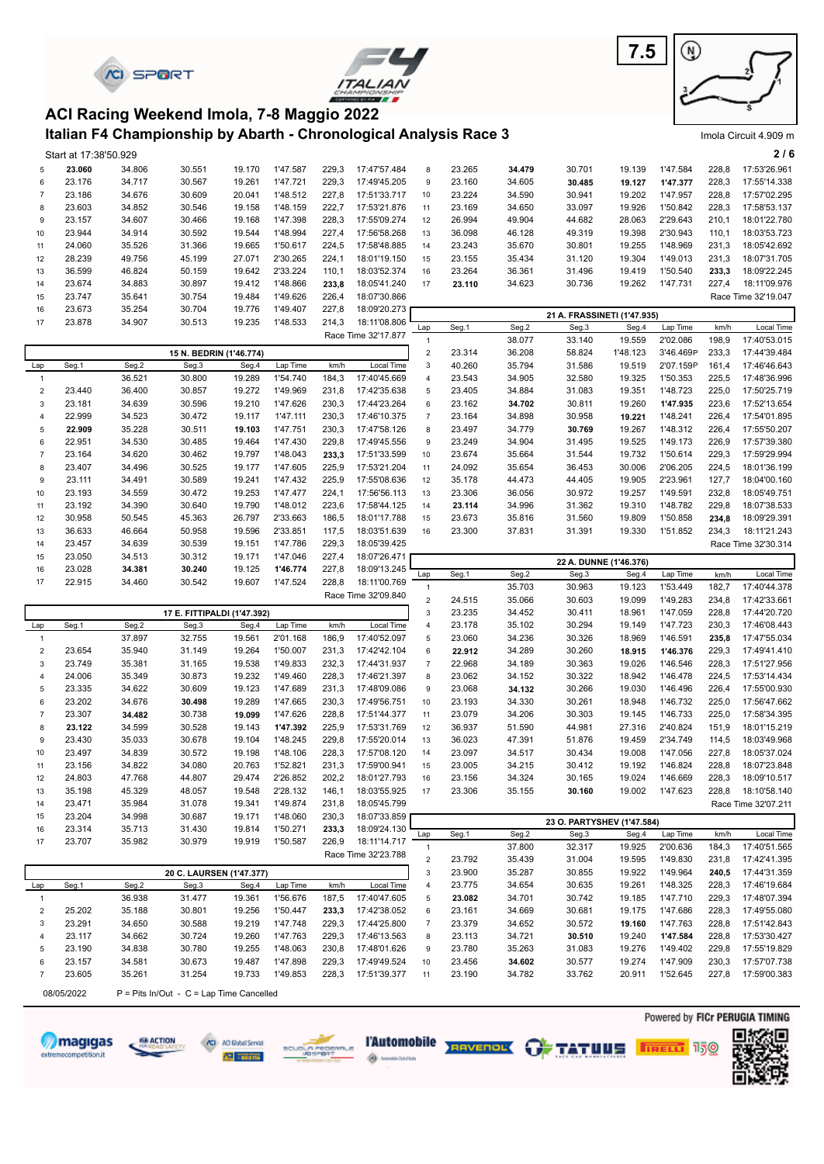|                     |                                 | <b><i>CI SPORT</i></b> |                                                                   |                  |                      |                |                              |                                |                  |                  |                                     | 7.5                | ⋓                      |                |                              |
|---------------------|---------------------------------|------------------------|-------------------------------------------------------------------|------------------|----------------------|----------------|------------------------------|--------------------------------|------------------|------------------|-------------------------------------|--------------------|------------------------|----------------|------------------------------|
|                     |                                 |                        | ACI Racing Weekend Imola, 7-8 Maggio 2022                         |                  |                      |                |                              |                                |                  |                  |                                     |                    |                        |                |                              |
|                     |                                 |                        | Italian F4 Championship by Abarth - Chronological Analysis Race 3 |                  |                      |                |                              |                                |                  |                  |                                     |                    |                        |                | Imola Circuit 4.909 m        |
| 5                   | Start at 17:38'50.929<br>23.060 | 34.806                 | 30.551                                                            | 19.170           | 1'47.587             | 229,3          | 17:47'57.484                 | 8                              | 23.265           | 34.479           | 30.701                              | 19.139             | 1'47.584               | 228,8          | 2/6<br>17:53'26.961          |
| 6                   | 23.176                          | 34.717                 | 30.567                                                            | 19.261           | 1'47.721             | 229,3          | 17:49'45.205                 | 9                              | 23.160           | 34.605           | 30.485                              | 19.127             | 1'47.377               | 228,3          | 17:55'14.338                 |
| $\overline{7}$      | 23.186                          | 34.676                 | 30.609                                                            | 20.041           | 1'48.512             | 227,8          | 17:51'33.717                 | 10                             | 23.224           | 34.590           | 30.941                              | 19.202             | 1'47.957               | 228,8          | 17:57'02.295                 |
| 8                   | 23.603                          | 34.852                 | 30.546                                                            | 19.158           | 1'48.159             | 222,7          | 17:53'21.876                 | 11                             | 23.169           | 34.650           | 33.097                              | 19.926             | 1'50.842               | 228,3          | 17:58'53.137                 |
| 9<br>10             | 23.157<br>23.944                | 34.607<br>34.914       | 30.466<br>30.592                                                  | 19.168<br>19.544 | 1'47.398<br>1'48.994 | 228,3<br>227,4 | 17:55'09.274<br>17:56'58.268 | 12<br>13                       | 26.994<br>36.098 | 49.904<br>46.128 | 44.682<br>49.319                    | 28.063<br>19.398   | 2'29.643<br>2'30.943   | 210,1<br>110,1 | 18:01'22.780<br>18:03'53.723 |
| 11                  | 24.060                          | 35.526                 | 31.366                                                            | 19.665           | 1'50.617             | 224,5          | 17:58'48.885                 | 14                             | 23.243           | 35.670           | 30.801                              | 19.255             | 1'48.969               | 231,3          | 18:05'42.692                 |
| 12                  | 28.239                          | 49.756                 | 45.199                                                            | 27.071           | 2'30.265             | 224,1          | 18:01'19.150                 | 15                             | 23.155           | 35.434           | 31.120                              | 19.304             | 1'49.013               | 231,3          | 18:07'31.705                 |
| 13                  | 36.599                          | 46.824                 | 50.159                                                            | 19.642           | 2'33.224             | 110,1          | 18:03'52.374                 | 16                             | 23.264           | 36.361           | 31.496                              | 19.419             | 1'50.540               | 233,3          | 18:09'22.245                 |
| 14                  | 23.674                          | 34.883                 | 30.897                                                            | 19.412           | 1'48.866             | 233,8          | 18:05'41.240                 | 17                             | 23.110           | 34.623           | 30.736                              | 19.262             | 1'47.731               | 227,4          | 18:11'09.976                 |
| 15                  | 23.747                          | 35.641                 | 30.754                                                            | 19.484           | 1'49.626             | 226,4          | 18:07'30.866                 |                                |                  |                  |                                     |                    |                        |                | Race Time 32'19.047          |
| 16<br>17            | 23.673<br>23.878                | 35.254<br>34.907       | 30.704<br>30.513                                                  | 19.776<br>19.235 | 1'49.407<br>1'48.533 | 227,8<br>214,3 | 18:09'20.273<br>18:11'08.806 |                                |                  |                  | 21 A. FRASSINETI (1'47.935)         |                    |                        |                |                              |
|                     |                                 |                        |                                                                   |                  |                      |                | Race Time 32'17.877          | Lap                            | Seg.1            | Seg.2            | Seg.3                               | Seg.4              | Lap Time               | km/h           | Local Time                   |
|                     |                                 |                        |                                                                   |                  |                      |                |                              | $\mathbf{1}$                   |                  | 38.077           | 33.140                              | 19.559             | 2'02.086               | 198,9          | 17:40'53.015                 |
| Lap                 | Seg.1                           | Seg.2                  | 15 N. BEDRIN (1'46.774)<br>Seg.3                                  | Seg.4            | Lap Time             | km/h           | Local Time                   | $\mathbf 2$<br>$\mathsf 3$     | 23.314<br>40.260 | 36.208<br>35.794 | 58.824<br>31.586                    | 1'48.123<br>19.519 | 3'46.469P<br>2'07.159P | 233,3<br>161,4 | 17:44'39.484<br>17:46'46.643 |
| $\mathbf{1}$        |                                 | 36.521                 | 30.800                                                            | 19.289           | 1'54.740             | 184,3          | 17:40'45.669                 | $\sqrt{4}$                     | 23.543           | 34.905           | 32.580                              | 19.325             | 1'50.353               | 225,5          | 17:48'36.996                 |
| $\sqrt{2}$          | 23.440                          | 36.400                 | 30.857                                                            | 19.272           | 1'49.969             | 231,8          | 17:42'35.638                 | 5                              | 23.405           | 34.884           | 31.083                              | 19.351             | 1'48.723               | 225,0          | 17:50'25.719                 |
| 3                   | 23.181                          | 34.639                 | 30.596                                                            | 19.210           | 1'47.626             | 230,3          | 17:44'23.264                 | 6                              | 23.162           | 34.702           | 30.811                              | 19.260             | 1'47.935               | 223,6          | 17:52'13.654                 |
| $\overline{4}$      | 22.999                          | 34.523                 | 30.472                                                            | 19.117           | 1'47.111             | 230,3          | 17:46'10.375                 | $\overline{7}$                 | 23.164           | 34.898           | 30.958                              | 19.221             | 1'48.241               | 226,4          | 17:54'01.895                 |
| 5                   | 22.909                          | 35.228                 | 30.511                                                            | 19.103           | 1'47.751             | 230,3          | 17:47'58.126                 | 8                              | 23.497           | 34.779           | 30.769                              | 19.267             | 1'48.312               | 226,4          | 17:55'50.207                 |
| 6<br>$\overline{7}$ | 22.951<br>23.164                | 34.530<br>34.620       | 30.485<br>30.462                                                  | 19.464<br>19.797 | 1'47.430<br>1'48.043 | 229,8          | 17:49'45.556<br>17:51'33.599 | 9<br>10                        | 23.249<br>23.674 | 34.904<br>35.664 | 31.495<br>31.544                    | 19.525<br>19.732   | 1'49.173<br>1'50.614   | 226,9<br>229,3 | 17:57'39.380<br>17:59'29.994 |
| 8                   | 23.407                          | 34.496                 | 30.525                                                            | 19.177           | 1'47.605             | 233,3<br>225,9 | 17:53'21.204                 | 11                             | 24.092           | 35.654           | 36.453                              | 30.006             | 2'06.205               | 224,5          | 18:01'36.199                 |
| 9                   | 23.111                          | 34.491                 | 30.589                                                            | 19.241           | 1'47.432             | 225,9          | 17:55'08.636                 | 12                             | 35.178           | 44.473           | 44.405                              | 19.905             | 2'23.961               | 127,7          | 18:04'00.160                 |
| 10                  | 23.193                          | 34.559                 | 30.472                                                            | 19.253           | 1'47.477             | 224,1          | 17:56'56.113                 | 13                             | 23.306           | 36.056           | 30.972                              | 19.257             | 1'49.591               | 232,8          | 18:05'49.751                 |
| 11                  | 23.192                          | 34.390                 | 30.640                                                            | 19.790           | 1'48.012             | 223,6          | 17:58'44.125                 | 14                             | 23.114           | 34.996           | 31.362                              | 19.310             | 1'48.782               | 229,8          | 18:07'38.533                 |
| 12                  | 30.958                          | 50.545                 | 45.363                                                            | 26.797           | 2'33.663             | 186,5          | 18:01'17.788                 | 15                             | 23.673           | 35.816           | 31.560                              | 19.809             | 1'50.858               | 234,8          | 18:09'29.391                 |
| 13                  | 36.633                          | 46.664                 | 50.958                                                            | 19.596           | 2'33.851             | 117,5          | 18:03'51.639                 | 16                             | 23.300           | 37.831           | 31.391                              | 19.330             | 1'51.852               | 234,3          | 18:11'21.243                 |
| 14<br>15            | 23.457<br>23.050                | 34.639<br>34.513       | 30.539<br>30.312                                                  | 19.151<br>19.171 | 1'47.786<br>1'47.046 | 229,3<br>227,4 | 18:05'39.425<br>18:07'26.471 |                                |                  |                  |                                     |                    |                        |                | Race Time 32'30.314          |
| 16                  | 23.028                          | 34.381                 | 30.240                                                            | 19.125           | 1'46.774             | 227,8          | 18:09'13.245                 |                                |                  |                  | 22 A. DUNNE (1'46.376)              |                    |                        |                |                              |
| 17                  | 22.915                          | 34.460                 | 30.542                                                            | 19.607           | 1'47.524             | 228,8          | 18:11'00.769                 | Lap                            | Seg.1            | Seg.2            | Seg.3                               | Seg.4              | Lap Time               | km/h           | Local Time                   |
|                     |                                 |                        |                                                                   |                  |                      |                | Race Time 32'09.840          | $\mathbf{1}$<br>$\overline{2}$ | 24.515           | 35.703<br>35.066 | 30.963<br>30.603                    | 19.123<br>19.099   | 1'53.449<br>1'49.283   | 182,7<br>234,8 | 17:40'44.378<br>17:42'33.661 |
|                     |                                 |                        | 17 E. FITTIPALDI (1'47.392)                                       |                  |                      |                |                              | 3                              | 23.235           | 34.452           | 30.411                              | 18.961             | 1'47.059               | 228,8          | 17:44'20.720                 |
| Lap                 | Seg.1                           | Seg.2                  | Seg.3                                                             | Seg.4            | Lap Time             | km/h           | Local Time                   | $\overline{4}$                 | 23.178           | 35.102           | 30.294                              | 19.149             | 1'47.723               | 230,3          | 17:46'08.443                 |
| $\overline{1}$      |                                 | 37.897                 | 32.755                                                            | 19.561           | 2'01.168             | 186,9          | 17:40'52.097                 | 5                              | 23.060           | 34.236           | 30.326                              | 18.969             | 1'46.591               | 235,8          | 17:47'55.034                 |
|                     | 23.654                          | 35.940                 | 31.149                                                            | 19.264           | 1'50.007             | 231,3          | 17:42'42.104                 |                                |                  |                  |                                     |                    |                        |                | 17:49'41.410                 |
| 3<br>$\overline{4}$ | 23.749<br>24.006                |                        |                                                                   |                  |                      |                |                              |                                | 22.912           | 34.289           | 30.260                              | 18.915             | 1'46.376               | 229,3          |                              |
| 5                   |                                 | 35.381                 | 31.165                                                            | 19.538           | 1'49.833             | 232,3          | 17:44'31.937                 | $\boldsymbol{7}$               | 22.968           | 34.189           | 30.363                              | 19.026             | 1'46.546               | 228,3          | 17:51'27.956                 |
| 6                   |                                 | 35.349                 | 30.873                                                            | 19.232           | 1'49.460             | 228,3          | 17:46'21.397                 | 8                              | 23.062           | 34.152           | 30.322                              | 18.942             | 1'46.478               | 224,5          | 17:53'14.434                 |
|                     | 23.335<br>23.202                | 34.622                 | 30.609                                                            | 19.123<br>19.289 | 1'47.689<br>1'47.665 | 231,3<br>230,3 | 17:48'09.086                 | 9<br>10                        | 23.068           | 34.132           | 30.266                              | 19.030<br>18.948   | 1'46.496<br>1'46.732   | 226,4<br>225,0 | 17:55'00.930<br>17:56'47.662 |
| $\overline{7}$      | 23.307                          | 34.676<br>34.482       | 30.498<br>30.738                                                  | 19.099           | 1'47.626             | 228,8          | 17:49'56.751<br>17:51'44.377 | 11                             | 23.193<br>23.079 | 34.330<br>34.206 | 30.261<br>30.303                    | 19.145             | 1'46.733               | 225,0          | 17:58'34.395                 |
| 8                   | 23.122                          | 34.599                 | 30.528                                                            | 19.143           | 1'47.392             | 225,9          | 17:53'31.769                 | 12                             | 36.937           | 51.590           | 44.981                              | 27.316             | 2'40.824               | 151,9          | 18:01'15.219                 |
| 9                   | 23.430                          | 35.033                 | 30.678                                                            | 19.104           | 1'48.245             | 229,8          | 17:55'20.014                 | 13                             | 36.023           | 47.391           | 51.876                              | 19.459             | 2'34.749               | 114,5          | 18:03'49.968                 |
| 10                  | 23.497                          | 34.839                 | 30.572                                                            | 19.198           | 1'48.106             | 228,3          | 17:57'08.120                 | 14                             | 23.097           | 34.517           | 30.434                              | 19.008             | 1'47.056               | 227,8          | 18:05'37.024                 |
| 11                  | 23.156                          | 34.822                 | 34.080                                                            | 20.763           | 1'52.821             | 231,3          | 17:59'00.941                 | 15                             | 23.005           | 34.215           | 30.412                              | 19.192             | 1'46.824               | 228,8          | 18:07'23.848                 |
| 12<br>13            | 24.803<br>35.198                | 47.768<br>45.329       | 44.807<br>48.057                                                  | 29.474<br>19.548 | 2'26.852<br>2'28.132 | 202,2<br>146,1 | 18:01'27.793<br>18:03'55.925 | 16<br>17                       | 23.156<br>23.306 | 34.324<br>35.155 | 30.165<br>30.160                    | 19.024<br>19.002   | 1'46.669<br>1'47.623   | 228,3<br>228,8 | 18:09'10.517<br>18:10'58.140 |
| 14                  | 23.471                          | 35.984                 | 31.078                                                            | 19.341           | 1'49.874             | 231,8          | 18:05'45.799                 |                                |                  |                  |                                     |                    |                        |                | Race Time 32'07.211          |
| 15                  | 23.204                          | 34.998                 | 30.687                                                            | 19.171           | 1'48.060             | 230,3          | 18:07'33.859                 |                                |                  |                  |                                     |                    |                        |                |                              |
| 16                  | 23.314                          | 35.713                 | 31.430                                                            | 19.814           | 1'50.271             | 233,3          | 18:09'24.130                 | Lap                            | Seg.1            | Seg.2            | 23 O. PARTYSHEV (1'47.584)<br>Seg.3 | Seg.4              | Lap Time               | km/h           | Local Time                   |
| 17                  | 23.707                          | 35.982                 | 30.979                                                            | 19.919           | 1'50.587             | 226,9          | 18:11'14.717                 | $\mathbf{1}$                   |                  | 37.800           | 32.317                              | 19.925             | 2'00.636               | 184,3          | 17:40'51.565                 |
|                     |                                 |                        |                                                                   |                  |                      |                | Race Time 32'23.788          | $\mathbf 2$                    | 23.792           | 35.439           | 31.004                              | 19.595             | 1'49.830               | 231,8          | 17:42'41.395                 |
|                     |                                 |                        | 20 C. LAURSEN (1'47.377)                                          |                  |                      |                |                              | $\ensuremath{\mathsf{3}}$      | 23.900           | 35.287           | 30.855                              | 19.922             | 1'49.964               | 240,5          | 17:44'31.359                 |
| Lap                 | Seg.1                           | Seg.2                  | Seg.3                                                             | Seg.4            | Lap Time             | km/h           | Local Time                   | 4                              | 23.775           | 34.654           | 30.635                              | 19.261             | 1'48.325               | 228,3          | 17:46'19.684                 |
| $\overline{1}$      |                                 | 36.938                 | 31.477                                                            | 19.361           | 1'56.676             | 187,5          | 17:40'47.605                 | 5                              | 23.082           | 34.701           | 30.742                              | 19.185             | 1'47.710               | 229,3          | 17:48'07.394                 |
| $\overline{c}$<br>3 | 25.202<br>23.291                | 35.188<br>34.650       | 30.801<br>30.588                                                  | 19.256<br>19.219 | 1'50.447<br>1'47.748 | 233,3<br>229,3 | 17:42'38.052<br>17:44'25.800 | 6<br>$\boldsymbol{7}$          | 23.161<br>23.379 | 34.669<br>34.652 | 30.681<br>30.572                    | 19.175<br>19.160   | 1'47.686<br>1'47.763   | 228,3<br>228,8 | 17:49'55.080<br>17:51'42.843 |
| $\overline{4}$      | 23.117                          | 34.662                 | 30.724                                                            | 19.260           | 1'47.763             | 229,3          | 17:46'13.563                 | 8                              | 23.113           | 34.721           | 30.510                              | 19.240             | 1'47.584               | 228,8          | 17:53'30.427                 |
| 5                   | 23.190                          | 34.838                 | 30.780                                                            | 19.255           | 1'48.063             | 230,8          | 17:48'01.626                 | 9                              | 23.780           | 35.263           | 31.083                              | 19.276             | 1'49.402               | 229,8          | 17:55'19.829                 |
| 6                   | 23.157                          | 34.581                 | 30.673                                                            | 19.487           | 1'47.898             | 229,3          | 17:49'49.524                 | 10                             | 23.456           | 34.602           | 30.577                              | 19.274             | 1'47.909               | 230,3          | 17:57'07.738                 |
| $\overline{7}$      | 23.605                          | 35.261                 | 31.254                                                            | 19.733           | 1'49.853             | 228,3          | 17:51'39.377                 | 11                             | 23.190           | 34.782           | 33.762                              | 20.911             | 1'52.645               | 227,8          | 17:59'00.383                 |











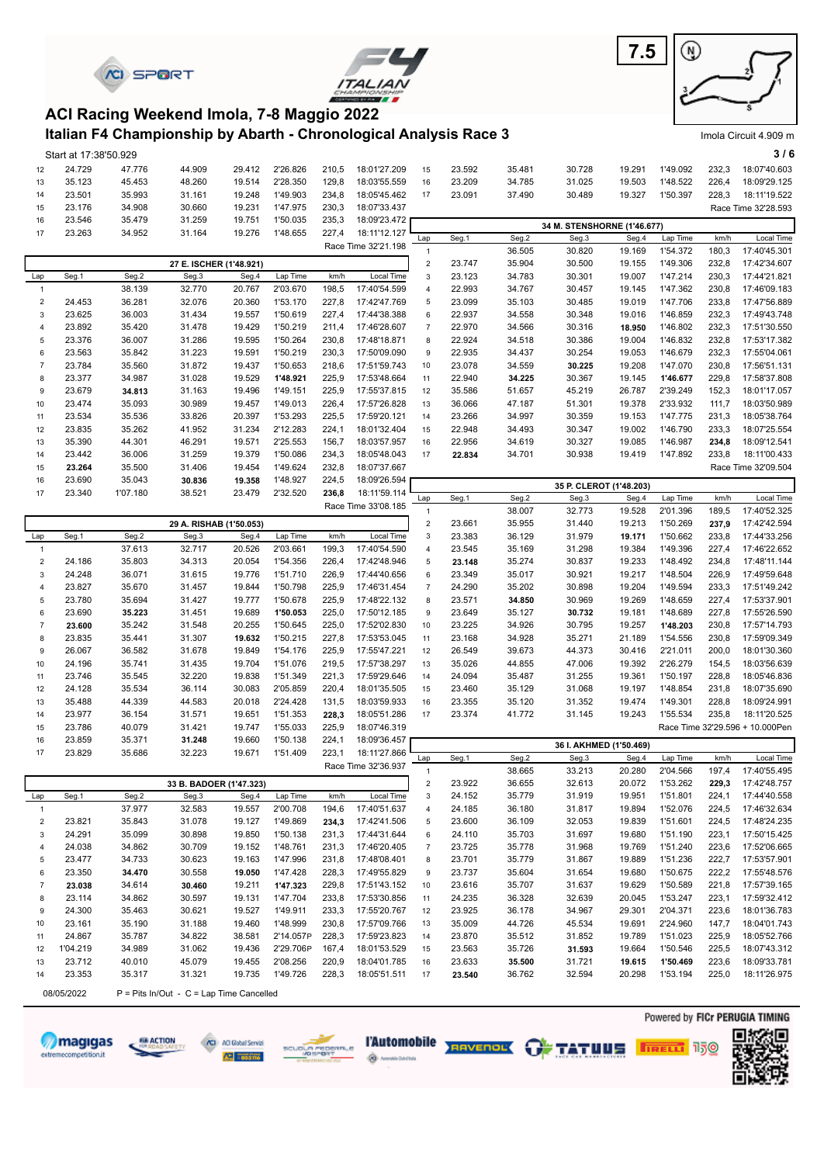





#### **Italian F4 Championship by Abarth - Chronological Analysis Race 3 ACI Racing Weekend Imola, 7-8 Maggio 2022**

|                         | Start at 17:38'50.929 |          |                         |        |           |       |                     |                |        |        |                             |        |          |       | 3/6                             |
|-------------------------|-----------------------|----------|-------------------------|--------|-----------|-------|---------------------|----------------|--------|--------|-----------------------------|--------|----------|-------|---------------------------------|
| 12                      | 24.729                | 47.776   | 44.909                  | 29.412 | 2'26.826  | 210,5 | 18:01'27.209        | 15             | 23.592 | 35.481 | 30.728                      | 19.291 | 1'49.092 | 232,3 | 18:07'40.603                    |
| 13                      | 35.123                | 45.453   | 48.260                  | 19.514 | 2'28.350  | 129,8 | 18:03'55.559        | 16             | 23.209 | 34.785 | 31.025                      | 19.503 | 1'48.522 | 226,4 | 18:09'29.125                    |
| 14                      | 23.501                | 35.993   | 31.161                  | 19.248 | 1'49.903  | 234,8 | 18:05'45.462        | 17             | 23.091 | 37.490 | 30.489                      | 19.327 | 1'50.397 | 228,3 | 18:11'19.522                    |
| 15                      | 23.176                | 34.908   | 30.660                  | 19.231 | 1'47.975  | 230,3 | 18:07'33.437        |                |        |        |                             |        |          |       | Race Time 32'28.593             |
| 16                      | 23.546                | 35.479   | 31.259                  | 19.751 | 1'50.035  | 235,3 | 18:09'23.472        |                |        |        | 34 M. STENSHORNE (1'46.677) |        |          |       |                                 |
| 17                      | 23.263                | 34.952   | 31.164                  | 19.276 | 1'48.655  | 227,4 | 18:11'12.127        | Lap            | Seg.1  | Seg.2  | Seg.3                       | Seg.4  | Lap Time | km/h  | Local Time                      |
|                         |                       |          |                         |        |           |       | Race Time 32'21.198 | $\overline{1}$ |        | 36.505 | 30.820                      | 19.169 | 1'54.372 | 180,3 | 17:40'45.301                    |
|                         |                       |          | 27 E. ISCHER (1'48.921) |        |           |       |                     | $\mathbf 2$    | 23.747 | 35.904 | 30.500                      | 19.155 | 1'49.306 | 232,8 | 17:42'34.607                    |
| Lap                     | Seg.1                 | Seg.2    | Seg.3                   | Seg.4  | Lap Time  | km/h  | Local Time          | 3              | 23.123 | 34.783 | 30.301                      | 19.007 | 1'47.214 | 230,3 | 17:44'21.821                    |
| $\mathbf{1}$            |                       | 38.139   | 32.770                  | 20.767 | 2'03.670  | 198,5 | 17:40'54.599        | $\overline{4}$ | 22.993 | 34.767 | 30.457                      | 19.145 | 1'47.362 | 230,8 | 17:46'09.183                    |
| $\overline{\mathbf{c}}$ | 24.453                | 36.281   | 32.076                  | 20.360 | 1'53.170  | 227,8 | 17:42'47.769        | 5              | 23.099 | 35.103 | 30.485                      | 19.019 | 1'47.706 | 233,8 | 17:47'56.889                    |
| 3                       | 23.625                | 36.003   | 31.434                  | 19.557 | 1'50.619  | 227,4 | 17:44'38.388        | 6              | 22.937 | 34.558 | 30.348                      | 19.016 | 1'46.859 | 232,3 | 17:49'43.748                    |
| 4                       | 23.892                | 35.420   | 31.478                  | 19.429 | 1'50.219  | 211,4 | 17:46'28.607        | $\overline{7}$ | 22.970 | 34.566 | 30.316                      | 18.950 | 1'46.802 | 232,3 | 17:51'30.550                    |
| 5                       | 23.376                | 36.007   | 31.286                  | 19.595 | 1'50.264  | 230,8 | 17:48'18.871        | 8              | 22.924 | 34.518 | 30.386                      | 19.004 | 1'46.832 | 232,8 | 17:53'17.382                    |
| 6                       | 23.563                | 35.842   | 31.223                  | 19.591 | 1'50.219  | 230,3 | 17:50'09.090        | 9              | 22.935 | 34.437 | 30.254                      | 19.053 | 1'46.679 | 232,3 | 17:55'04.061                    |
| $\overline{7}$          | 23.784                | 35.560   | 31.872                  | 19.437 | 1'50.653  | 218,6 | 17:51'59.743        | 10             | 23.078 | 34.559 | 30.225                      | 19.208 | 1'47.070 | 230,8 | 17:56'51.131                    |
| 8                       | 23.377                | 34.987   | 31.028                  | 19.529 | 1'48.921  | 225,9 | 17:53'48.664        | 11             | 22.940 | 34.225 | 30.367                      | 19.145 | 1'46.677 | 229,8 | 17:58'37.808                    |
| 9                       | 23.679                | 34.813   | 31.163                  | 19.496 | 1'49.151  | 225,9 | 17:55'37.815        | 12             | 35.586 | 51.657 | 45.219                      | 26.787 | 2'39.249 | 152,3 | 18:01'17.057                    |
| 10                      | 23.474                | 35.093   | 30.989                  | 19.457 | 1'49.013  | 226,4 | 17:57'26.828        | 13             | 36.066 | 47.187 | 51.301                      | 19.378 | 2'33.932 | 111,7 | 18:03'50.989                    |
| 11                      | 23.534                | 35.536   | 33.826                  | 20.397 | 1'53.293  | 225,5 | 17:59'20.121        | 14             | 23.266 | 34.997 | 30.359                      | 19.153 | 1'47.775 | 231,3 | 18:05'38.764                    |
| 12                      | 23.835                | 35.262   | 41.952                  | 31.234 | 2'12.283  | 224,1 | 18:01'32.404        | 15             | 22.948 | 34.493 | 30.347                      | 19.002 | 1'46.790 | 233,3 | 18:07'25.554                    |
| 13                      | 35.390                | 44.301   | 46.291                  | 19.571 | 2'25.553  | 156,7 | 18:03'57.957        | 16             | 22.956 | 34.619 | 30.327                      | 19.085 | 1'46.987 | 234,8 | 18:09'12.541                    |
| 14                      | 23.442                | 36.006   | 31.259                  | 19.379 | 1'50.086  | 234,3 | 18:05'48.043        | 17             | 22.834 | 34.701 | 30.938                      | 19.419 | 1'47.892 | 233,8 | 18:11'00.433                    |
| 15                      | 23.264                | 35.500   | 31.406                  | 19.454 | 1'49.624  | 232,8 | 18:07'37.667        |                |        |        |                             |        |          |       | Race Time 32'09.504             |
| 16                      | 23.690                | 35.043   | 30.836                  | 19.358 | 1'48.927  | 224,5 | 18:09'26.594        |                |        |        | 35 P. CLEROT (1'48.203)     |        |          |       |                                 |
| 17                      | 23.340                | 1'07.180 | 38.521                  | 23.479 | 2'32.520  | 236,8 | 18:11'59.114        | Lap            | Seg.1  | Seg.2  | Seg.3                       | Seg.4  | Lap Time | km/h  | Local Time                      |
|                         |                       |          |                         |        |           |       | Race Time 33'08.185 | $\overline{1}$ |        | 38.007 | 32.773                      | 19.528 | 2'01.396 | 189,5 | 17:40'52.325                    |
|                         |                       |          | 29 A. RISHAB (1'50.053) |        |           |       |                     | $\mathbf 2$    | 23.661 | 35.955 | 31.440                      | 19.213 | 1'50.269 | 237,9 | 17:42'42.594                    |
| Lap                     | Seg.1                 | Seg.2    | Seg.3                   | Seg.4  | Lap Time  | km/h  | Local Time          | 3              | 23.383 | 36.129 | 31.979                      | 19.171 | 1'50.662 | 233,8 | 17:44'33.256                    |
| $\mathbf{1}$            |                       | 37.613   | 32.717                  | 20.526 | 2'03.661  | 199,3 | 17:40'54.590        | $\overline{4}$ | 23.545 | 35.169 | 31.298                      | 19.384 | 1'49.396 | 227,4 | 17:46'22.652                    |
| $\overline{c}$          | 24.186                | 35.803   | 34.313                  | 20.054 | 1'54.356  | 226,4 | 17:42'48.946        | 5              | 23.148 | 35.274 | 30.837                      | 19.233 | 1'48.492 | 234,8 | 17:48'11.144                    |
| 3                       | 24.248                | 36.071   | 31.615                  | 19.776 | 1'51.710  | 226,9 | 17:44'40.656        | 6              | 23.349 | 35.017 | 30.921                      | 19.217 | 1'48.504 | 226,9 | 17:49'59.648                    |
| 4                       | 23.827                | 35.670   | 31.457                  | 19.844 | 1'50.798  | 225,9 | 17:46'31.454        | $\overline{7}$ | 24.290 | 35.202 | 30.898                      | 19.204 | 1'49.594 | 233,3 | 17:51'49.242                    |
| 5                       | 23.780                | 35.694   | 31.427                  | 19.777 | 1'50.678  | 225,9 | 17:48'22.132        | 8              | 23.571 | 34.850 | 30.969                      | 19.269 | 1'48.659 | 227,4 | 17:53'37.901                    |
| 6                       | 23.690                | 35.223   | 31.451                  | 19.689 | 1'50.053  | 225,0 | 17:50'12.185        | 9              | 23.649 | 35.127 | 30.732                      | 19.181 | 1'48.689 | 227,8 | 17:55'26.590                    |
| $\overline{7}$          | 23.600                | 35.242   | 31.548                  | 20.255 | 1'50.645  | 225,0 | 17:52'02.830        | 10             | 23.225 | 34.926 | 30.795                      | 19.257 | 1'48.203 | 230,8 | 17:57'14.793                    |
| 8                       | 23.835                | 35.441   | 31.307                  | 19.632 | 1'50.215  | 227,8 | 17:53'53.045        | 11             | 23.168 | 34.928 | 35.271                      | 21.189 | 1'54.556 | 230,8 | 17:59'09.349                    |
| 9                       | 26.067                | 36.582   | 31.678                  | 19.849 | 1'54.176  | 225,9 | 17:55'47.221        | 12             | 26.549 | 39.673 | 44.373                      | 30.416 | 2'21.011 | 200,0 | 18:01'30.360                    |
| 10                      | 24.196                | 35.741   | 31.435                  | 19.704 | 1'51.076  | 219,5 | 17:57'38.297        | 13             | 35.026 | 44.855 | 47.006                      | 19.392 | 2'26.279 | 154,5 | 18:03'56.639                    |
| 11                      | 23.746                | 35.545   | 32.220                  | 19.838 | 1'51.349  | 221,3 | 17:59'29.646        | 14             | 24.094 | 35.487 | 31.255                      | 19.361 | 1'50.197 | 228,8 | 18:05'46.836                    |
| 12                      | 24.128                | 35.534   | 36.114                  | 30.083 | 2'05.859  | 220,4 | 18:01'35.505        | 15             | 23.460 | 35.129 | 31.068                      | 19.197 | 1'48.854 | 231,8 | 18:07'35.690                    |
| 13                      | 35.488                | 44.339   | 44.583                  | 20.018 | 2'24.428  | 131,5 | 18:03'59.933        | 16             | 23.355 | 35.120 | 31.352                      | 19.474 | 1'49.301 | 228,8 | 18:09'24.991                    |
| 14                      | 23.977                | 36.154   | 31.571                  | 19.651 | 1'51.353  | 228,3 | 18:05'51.286        | 17             | 23.374 | 41.772 | 31.145                      | 19.243 | 1'55.534 | 235,8 | 18:11'20.525                    |
| 15                      | 23.786                | 40.079   | 31.421                  | 19.747 | 1'55.033  | 225,9 | 18:07'46.319        |                |        |        |                             |        |          |       | Race Time 32'29.596 + 10.000Pen |
| 16                      | 23.859                | 35.371   | 31.248                  | 19.660 | 1'50.138  | 224,1 | 18:09'36.457        |                |        |        | 36 I. AKHMED (1'50.469)     |        |          |       |                                 |
| 17                      | 23.829                | 35.686   | 32.223                  | 19.671 | 1'51.409  | 223,1 | 18:11'27.866        | Lap            | Seg.1  | Seg.2  | Seg.3                       | Seg.4  | Lap Time | km/h  | Local Time                      |
|                         |                       |          |                         |        |           |       | Race Time 32'36.937 | $\overline{1}$ |        | 38.665 | 33.213                      | 20.280 | 2'04.566 | 197,4 | 17:40'55.495                    |
|                         |                       |          | 33 B. BADOER (1'47.323) |        |           |       |                     | 2              | 23.922 | 36.655 | 32.613                      | 20.072 | 1'53.262 | 229,3 | 17:42'48.757                    |
| Lap                     | Seg.1                 | Seg.2    | Seg.3                   | Seg.4  | Lap Time  | km/h  | Local Time          | 3              | 24.152 | 35.779 | 31.919                      | 19.951 | 1'51.801 | 224,1 | 17:44'40.558                    |
| $\mathbf{1}$            |                       | 37.977   | 32.583                  | 19.557 | 2'00.708  | 194,6 | 17:40'51.637        | 4              | 24.185 | 36.180 | 31.817                      | 19.894 | 1'52.076 | 224,5 | 17:46'32.634                    |
| $\overline{\mathbf{c}}$ | 23.821                | 35.843   | 31.078                  | 19.127 | 1'49.869  | 234,3 | 17:42'41.506        | 5              | 23.600 | 36.109 | 32.053                      | 19.839 | 1'51.601 | 224,5 | 17:48'24.235                    |
| 3                       | 24.291                | 35.099   | 30.898                  | 19.850 | 1'50.138  | 231,3 | 17:44'31.644        | 6              | 24.110 | 35.703 | 31.697                      | 19.680 | 1'51.190 | 223,1 | 17:50'15.425                    |
| 4                       | 24.038                | 34.862   | 30.709                  | 19.152 | 1'48.761  | 231,3 | 17:46'20.405        | $\overline{7}$ | 23.725 | 35.778 | 31.968                      | 19.769 | 1'51.240 | 223,6 | 17:52'06.665                    |
| 5                       | 23.477                | 34.733   | 30.623                  | 19.163 | 1'47.996  | 231,8 | 17:48'08.401        | 8              | 23.701 | 35.779 | 31.867                      | 19.889 | 1'51.236 | 222,7 | 17:53'57.901                    |
| 6                       | 23.350                | 34.470   | 30.558                  | 19.050 | 1'47.428  | 228,3 | 17:49'55.829        | 9              | 23.737 | 35.604 | 31.654                      | 19.680 | 1'50.675 | 222,2 | 17:55'48.576                    |
| $\overline{7}$          | 23.038                | 34.614   | 30.460                  | 19.211 | 1'47.323  | 229,8 | 17:51'43.152        | 10             | 23.616 | 35.707 | 31.637                      | 19.629 | 1'50.589 | 221,8 | 17:57'39.165                    |
| 8                       | 23.114                | 34.862   | 30.597                  | 19.131 | 1'47.704  | 233,8 | 17:53'30.856        | 11             | 24.235 | 36.328 | 32.639                      | 20.045 | 1'53.247 | 223,1 | 17:59'32.412                    |
| 9                       | 24.300                | 35.463   | 30.621                  | 19.527 | 1'49.911  | 233,3 | 17:55'20.767        | 12             | 23.925 | 36.178 | 34.967                      | 29.301 | 2'04.371 | 223,6 | 18:01'36.783                    |
| 10                      | 23.161                | 35.190   | 31.188                  | 19.460 | 1'48.999  | 230,8 | 17:57'09.766        | 13             | 35.009 | 44.726 | 45.534                      | 19.691 | 2'24.960 | 147,7 | 18:04'01.743                    |
| 11                      | 24.867                | 35.787   | 34.822                  | 38.581 | 2'14.057P | 228,3 | 17:59'23.823        | 14             | 23.870 | 35.512 | 31.852                      | 19.789 | 1'51.023 | 225,9 | 18:05'52.766                    |
| 12                      | 1'04.219              | 34.989   | 31.062                  | 19.436 | 2'29.706P | 167,4 | 18:01'53.529        | 15             | 23.563 | 35.726 | 31.593                      | 19.664 | 1'50.546 | 225,5 | 18:07'43.312                    |
| 13                      | 23.712                | 40.010   | 45.079                  | 19.455 | 2'08.256  | 220,9 | 18:04'01.785        | 16             | 23.633 | 35.500 | 31.721                      | 19.615 | 1'50.469 | 223,6 | 18:09'33.781                    |
| 14                      |                       | 35.317   | 31.321                  | 19.735 | 1'49.726  | 228,3 | 18:05'51.511        | 17             | 23.540 | 36.762 | 32.594                      | 20.298 | 1'53.194 | 225,0 | 18:11'26.975                    |
|                         | 23.353                |          |                         |        |           |       |                     |                |        |        |                             |        |          |       |                                 |













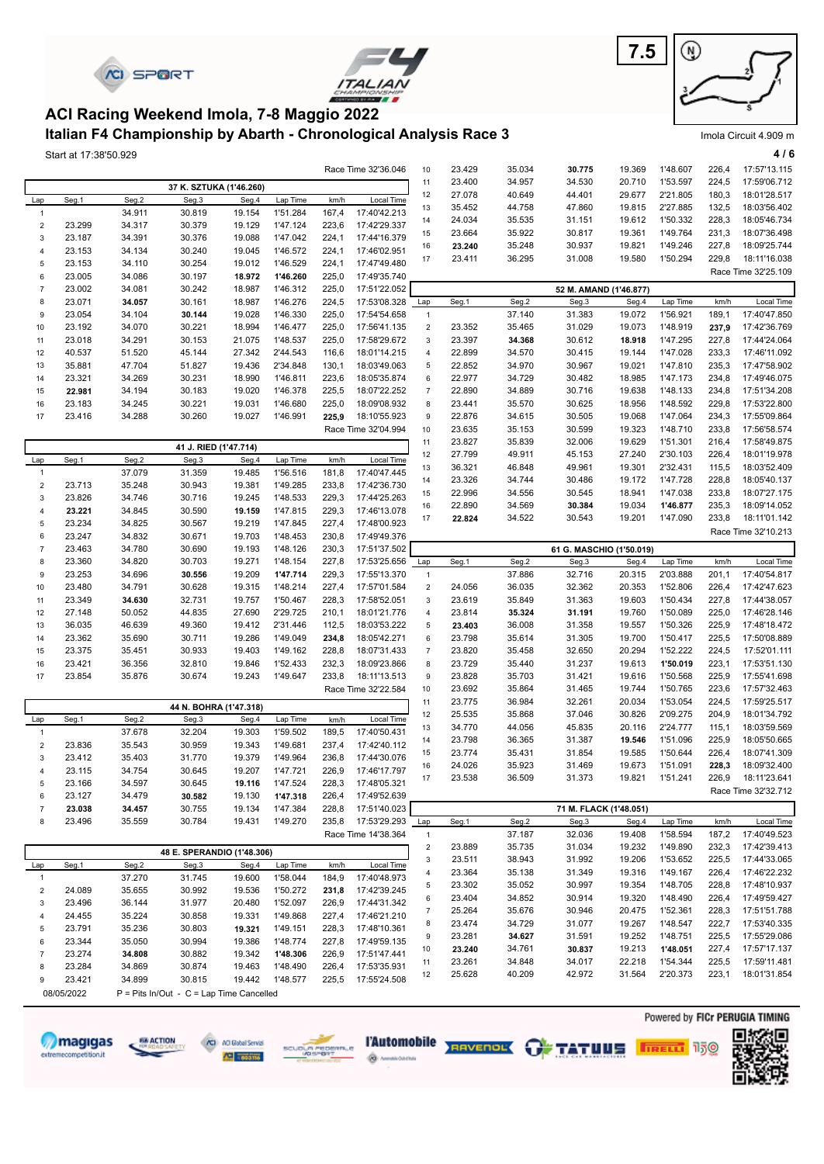



#### **Italian F4 Championship by Abarth - Chronological Analysis Race 3 ACI Racing Weekend Imola, 7-8 Maggio 2022**

Start at 17:38'50.929 **4 / 6**

|                                    |                  |                  |                                          |                  |                      |                | Race Time 32'36.046          | 10                          | 23.429           | 35.034           | 30.775           | 19.369                   | 1'48.607             | 226,4          | 17:57'13.115                   |
|------------------------------------|------------------|------------------|------------------------------------------|------------------|----------------------|----------------|------------------------------|-----------------------------|------------------|------------------|------------------|--------------------------|----------------------|----------------|--------------------------------|
|                                    |                  |                  | 37 K. SZTUKA (1'46.260)                  |                  |                      |                |                              | 11                          | 23.400           | 34.957           | 34.530           | 20.710                   | 1'53.597             | 224,5          | 17:59'06.712                   |
| Lap                                | Seg.1            | Seg.2            | Seg.3                                    | Seg.4            | Lap Time             | km/h           | Local Time                   | 12                          | 27.078           | 40.649           | 44.401           | 29.677                   | 2'21.805             | 180,3          | 18:01'28.517                   |
| $\mathbf{1}$                       |                  | 34.911           | 30.819                                   | 19.154           | 1'51.284             | 167,4          | 17:40'42.213                 | 13                          | 35.452           | 44.758           | 47.860           | 19.815                   | 2'27.885             | 132,5          | 18:03'56.402                   |
| $\mathbf 2$                        | 23.299           | 34.317           | 30.379                                   | 19.129           | 1'47.124             | 223,6          | 17:42'29.337                 | 14                          | 24.034           | 35.535           | 31.151           | 19.612                   | 1'50.332             | 228,3          | 18:05'46.734                   |
| 3                                  | 23.187           | 34.391           | 30.376                                   | 19.088           | 1'47.042             | 224,1          | 17:44'16.379                 | 15                          | 23.664           | 35.922           | 30.817           | 19.361                   | 1'49.764             | 231,3          | 18:07'36.498                   |
| 4                                  | 23.153           | 34.134           | 30.240                                   | 19.045           | 1'46.572             | 224,1          | 17:46'02.951                 | 16                          | 23.240           | 35.248           | 30.937           | 19.821                   | 1'49.246             | 227,8          | 18:09'25.744                   |
| 5                                  | 23.153           | 34.110           | 30.254                                   | 19.012           | 1'46.529             | 224,1          | 17:47'49.480                 | 17                          | 23.411           | 36.295           | 31.008           | 19.580                   | 1'50.294             | 229,8          | 18:11'16.038                   |
| 6                                  | 23.005           | 34.086           | 30.197                                   | 18.972           | 1'46.260             | 225,0          | 17:49'35.740                 |                             |                  |                  |                  |                          |                      |                | Race Time 32'25.109            |
| $\overline{7}$                     | 23.002           | 34.081           | 30.242                                   | 18.987           | 1'46.312             | 225,0          | 17:51'22.052                 |                             |                  |                  |                  | 52 M. AMAND (1'46.877)   |                      |                |                                |
| 8                                  | 23.071           | 34.057           | 30.161                                   | 18.987           | 1'46.276             | 224,5          | 17:53'08.328                 | Lap                         | Seg.1            | Seg.2            | Seg.3            | Seg.4                    | Lap Time             | km/h           | Local Time                     |
| 9                                  | 23.054           | 34.104           | 30.144                                   | 19.028           | 1'46.330             | 225,0          | 17:54'54.658                 | $\mathbf{1}$                |                  | 37.140           | 31.383           | 19.072                   | 1'56.921             | 189,1          | 17:40'47.850                   |
| 10                                 | 23.192           | 34.070           | 30.221                                   | 18.994           | 1'46.477             | 225,0          | 17:56'41.135                 | $\mathbf 2$                 | 23.352           | 35.465           | 31.029           | 19.073                   | 1'48.919             | 237,9          | 17:42'36.769                   |
| 11                                 | 23.018           | 34.291           | 30.153                                   | 21.075           | 1'48.537             | 225,0          | 17:58'29.672                 | $\ensuremath{\mathsf{3}}$   | 23.397           | 34.368           | 30.612           | 18.918                   | 1'47.295             | 227,8          | 17:44'24.064                   |
| 12                                 | 40.537           | 51.520           | 45.144                                   | 27.342           | 2'44.543             | 116,6          | 18:01'14.215                 | $\overline{4}$              | 22.899           | 34.570           | 30.415           | 19.144                   | 1'47.028             | 233,3          | 17:46'11.092                   |
| 13                                 | 35.881           | 47.704           | 51.827                                   | 19.436           | 2'34.848             | 130,1          | 18:03'49.063                 | $\,$ 5 $\,$                 | 22.852           | 34.970           | 30.967           | 19.021                   | 1'47.810             | 235,3          | 17:47'58.902                   |
| 14                                 | 23.321           | 34.269           | 30.231                                   | 18.990           | 1'46.811             | 223,6          | 18:05'35.874                 | 6                           | 22.977           | 34.729           | 30.482           | 18.985                   | 1'47.173             | 234,8          | 17:49'46.075                   |
| 15                                 | 22.981           | 34.194           | 30.183                                   | 19.020           | 1'46.378             | 225,5          | 18:07'22.252                 | $\overline{7}$              | 22.890           | 34.889           | 30.716           | 19.638                   | 1'48.133             | 234,8          | 17:51'34.208                   |
| 16                                 | 23.183           | 34.245           | 30.221                                   | 19.031           | 1'46.680             | 225,0          | 18:09'08.932                 | 8                           | 23.441           | 35.570           | 30.625           | 18.956                   | 1'48.592             | 229,8          | 17:53'22.800                   |
| 17                                 | 23.416           | 34.288           | 30.260                                   | 19.027           | 1'46.991             | 225,9          | 18:10'55.923                 | 9                           | 22.876           | 34.615           | 30.505           | 19.068                   | 1'47.064             | 234,3          | 17:55'09.864                   |
|                                    |                  |                  |                                          |                  |                      |                | Race Time 32'04.994          | 10                          | 23.635           | 35.153           | 30.599           | 19.323                   | 1'48.710             | 233,8          | 17:56'58.574                   |
|                                    |                  |                  | 41 J. RIED (1'47.714)                    |                  |                      |                |                              | 11                          | 23.827           | 35.839           | 32.006           | 19.629<br>27.240         | 1'51.301<br>2'30.103 | 216,4<br>226,4 | 17:58'49.875                   |
| Lap                                | Seg.1            | Seg.2            | Seg.3                                    | Seg.4            | Lap Time             | km/h           | Local Time                   | 12                          | 27.799           | 49.911           | 45.153<br>49.961 | 19.301                   | 2'32.431             | 115,5          | 18:01'19.978<br>18:03'52.409   |
| $\mathbf{1}$                       |                  | 37.079           | 31.359                                   | 19.485           | 1'56.516             | 181,8          | 17:40'47.445                 | 13<br>14                    | 36.321<br>23.326 | 46.848<br>34.744 | 30.486           | 19.172                   | 1'47.728             | 228,8          | 18:05'40.137                   |
| $\mathbf 2$                        | 23.713           | 35.248           | 30.943                                   | 19.381           | 1'49.285             | 233,8          | 17:42'36.730                 | 15                          | 22.996           | 34.556           | 30.545           | 18.941                   | 1'47.038             | 233,8          | 18:07'27.175                   |
| 3                                  | 23.826           | 34.746           | 30.716                                   | 19.245           | 1'48.533             | 229,3          | 17:44'25.263                 | 16                          | 22.890           | 34.569           | 30.384           | 19.034                   | 1'46.877             | 235,3          | 18:09'14.052                   |
| 4                                  | 23.221           | 34.845           | 30.590                                   | 19.159           | 1'47.815             | 229,3          | 17:46'13.078                 | 17                          | 22.824           | 34.522           | 30.543           | 19.201                   | 1'47.090             | 233,8          | 18:11'01.142                   |
| 5                                  | 23.234           | 34.825           | 30.567                                   | 19.219           | 1'47.845             | 227,4          | 17:48'00.923                 |                             |                  |                  |                  |                          |                      |                | Race Time 32'10.213            |
| 6                                  | 23.247           | 34.832           | 30.671                                   | 19.703           | 1'48.453             | 230,8          | 17:49'49.376                 |                             |                  |                  |                  |                          |                      |                |                                |
| $\overline{7}$                     | 23.463           | 34.780           | 30.690                                   | 19.193           | 1'48.126             | 230,3          | 17:51'37.502                 |                             |                  |                  |                  | 61 G. MASCHIO (1'50.019) |                      |                |                                |
| 8                                  | 23.360           | 34.820           | 30.703                                   | 19.271           | 1'48.154             | 227,8          | 17:53'25.656                 | Lap                         | Seg.1            | Seg.2            | Seg.3            | Seg.4                    | Lap Time             | km/h           | Local Time                     |
| 9                                  | 23.253           | 34.696           | 30.556                                   | 19.209           | 1'47.714             | 229,3          | 17:55'13.370                 | $\mathbf{1}$<br>$\mathbf 2$ |                  | 37.886           | 32.716           | 20.315                   | 2'03.888             | 201,1          | 17:40'54.817                   |
| 10<br>11                           | 23.480<br>23.349 | 34.791<br>34.630 | 30.628<br>32.731                         | 19.315<br>19.757 | 1'48.214<br>1'50.467 | 227,4<br>228,3 | 17:57'01.584<br>17:58'52.051 | 3                           | 24.056<br>23.619 | 36.035<br>35.849 | 32.362<br>31.363 | 20.353<br>19.603         | 1'52.806<br>1'50.434 | 226,4<br>227,8 | 17:42'47.623<br>17:44'38.057   |
| 12                                 | 27.148           | 50.052           | 44.835                                   | 27.690           | 2'29.725             | 210,1          | 18:01'21.776                 | $\overline{4}$              | 23.814           | 35.324           | 31.191           | 19.760                   | 1'50.089             | 225,0          | 17:46'28.146                   |
| 13                                 | 36.035           | 46.639           | 49.360                                   | 19.412           | 2'31.446             | 112,5          | 18:03'53.222                 | 5                           | 23.403           | 36.008           | 31.358           | 19.557                   | 1'50.326             | 225,9          | 17:48'18.472                   |
| 14                                 | 23.362           | 35.690           | 30.711                                   | 19.286           | 1'49.049             | 234,8          | 18:05'42.271                 | 6                           | 23.798           | 35.614           | 31.305           | 19.700                   | 1'50.417             | 225,5          | 17:50'08.889                   |
| 15                                 | 23.375           | 35.451           | 30.933                                   | 19.403           | 1'49.162             | 228,8          | 18:07'31.433                 | $\overline{7}$              | 23.820           | 35.458           | 32.650           | 20.294                   | 1'52.222             | 224,5          | 17:52'01.111                   |
| 16                                 | 23.421           | 36.356           | 32.810                                   | 19.846           | 1'52.433             | 232,3          | 18:09'23.866                 | 8                           | 23.729           | 35.440           | 31.237           | 19.613                   | 1'50.019             | 223,1          | 17:53'51.130                   |
| 17                                 | 23.854           | 35.876           | 30.674                                   | 19.243           | 1'49.647             | 233,8          | 18:11'13.513                 | $\boldsymbol{9}$            | 23.828           | 35.703           | 31.421           | 19.616                   | 1'50.568             | 225,9          | 17:55'41.698                   |
|                                    |                  |                  |                                          |                  |                      |                | Race Time 32'22.584          | 10                          | 23.692           | 35.864           | 31.465           | 19.744                   | 1'50.765             | 223,6          | 17:57'32.463                   |
|                                    |                  |                  |                                          |                  |                      |                |                              | 11                          | 23.775           | 36.984           | 32.261           | 20.034                   | 1'53.054             | 224,5          | 17:59'25.517                   |
|                                    |                  |                  | 44 N. BOHRA (1'47.318)                   |                  |                      |                | Local Time                   | 12                          | 25.535           | 35.868           | 37.046           | 30.826                   | 2'09.275             | 204,9          | 18:01'34.792                   |
| Lap<br>$\mathbf{1}$                | Seg.1            | Seg.2<br>37.678  | Seg.3<br>32.204                          | Seg.4<br>19.303  | Lap Time<br>1'59.502 | km/h<br>189,5  | 17:40'50.431                 | 13                          | 34.770           | 44.056           | 45.835           | 20.116                   | 2'24.777             | 115,1          | 18:03'59.569                   |
|                                    |                  |                  |                                          |                  |                      |                |                              | 14                          | 23.798           | 36.365           | 31.387           | 19.546                   | 1'51.096             | 225,9          | 18:05'50.665                   |
| $\mathbf 2$<br>3                   | 23.836<br>23.412 | 35.543<br>35.403 | 30.959<br>31.770                         | 19.343<br>19.379 | 1'49.681<br>1'49.964 | 237,4<br>236,8 | 17:42'40.112<br>17:44'30.076 | 15                          | 23.774           | 35.431           | 31.854           | 19.585                   | 1'50.644             | 226,4          | 18:07'41.309                   |
| 4                                  | 23.115           | 34.754           | 30.645                                   | 19.207           | 1'47.721             | 226,9          | 17:46'17.797                 | 16                          | 24.026           | 35.923           | 31.469           | 19.673                   | 1'51.091             | 228,3          | 18:09'32.400                   |
|                                    | 23.166           | 34.597           | 30.645                                   | 19.116           | 1'47.524             | 228,3          | 17:48'05.321                 | 17                          | 23.538           | 36.509           | 31.373           | 19.821                   | 1'51.241             | 226,9          | 18:11'23.641                   |
| 6                                  | 23.127           | 34.479           | 30.582                                   | 19.130           | 1'47.318             | 226,4          | 17:49'52.639                 |                             |                  |                  |                  |                          |                      |                | Race Time 32'32.712            |
| $\overline{7}$                     | 23.038           | 34.457           | 30.755                                   | 19.134           | 1'47.384             | 228,8          | 17:51'40.023                 |                             |                  |                  |                  | 71 M. FLACK (1'48.051)   |                      |                |                                |
| 8                                  | 23.496           | 35.559           | 30.784                                   | 19.431           | 1'49.270             | 235,8          | 17:53'29.293                 | Lap                         | Seg.1            | Seg.2            | Seg.3            | Seg.4                    | Lap Time             | km/h           | Local Time                     |
|                                    |                  |                  |                                          |                  |                      |                | Race Time 14'38.364          | $\mathbf{1}$                |                  | 37.187           | 32.036           | 19.408                   | 1'58.594             | 187,2          | 17:40'49.523                   |
|                                    |                  |                  |                                          |                  |                      |                |                              | $\overline{2}$              | 23.889           | 35.735           | 31.034           | 19.232                   | 1'49.890             | 232,3          | 17:42'39.413                   |
|                                    |                  | Seg.2            | 48 E. SPERANDIO (1'48.306)<br>Seg.3      |                  | Lap Time             |                | Local Time                   | 3                           | 23.511           | 38.943           | 31.992           | 19.206                   | 1'53.652             | 225,5          | 17:44'33.065                   |
| Lap                                | Seg.1            | 37.270           | 31.745                                   | Seg.4<br>19.600  | 1'58.044             | km/h<br>184,9  | 17:40'48.973                 | 4                           | 23.364           | 35.138           | 31.349           | 19.316                   | 1'49.167             | 226,4          | 17:46'22.232                   |
| $\overline{1}$<br>$\boldsymbol{2}$ | 24.089           | 35.655           | 30.992                                   | 19.536           | 1'50.272             | 231,8          | 17:42'39.245                 | 5                           | 23.302           | 35.052           | 30.997           | 19.354                   | 1'48.705             | 228,8          | 17:48'10.937                   |
| 3                                  | 23.496           | 36.144           | 31.977                                   | 20.480           | 1'52.097             | 226,9          | 17:44'31.342                 | 6                           | 23.404           | 34.852           | 30.914           | 19.320                   | 1'48.490             | 226,4          | 17:49'59.427                   |
| 4                                  | 24.455           | 35.224           | 30.858                                   | 19.331           | 1'49.868             | 227,4          | 17:46'21.210                 | $\overline{7}$              | 25.264           | 35.676           | 30.946           | 20.475                   | 1'52.361             | 228,3          | 17:51'51.788                   |
| 5                                  | 23.791           | 35.236           | 30.803                                   | 19.321           | 1'49.151             | 228,3          | 17:48'10.361                 | 8                           | 23.474           | 34.729           | 31.077           | 19.267                   | 1'48.547             | 222,7          | 17:53'40.335                   |
| 6                                  | 23.344           | 35.050           | 30.994                                   | 19.386           | 1'48.774             | 227,8          | 17:49'59.135                 | 9                           | 23.281           | 34.627           | 31.591           | 19.252                   | 1'48.751             | 225,5          | 17:55'29.086                   |
| $\overline{7}$                     | 23.274           | 34.808           | 30.882                                   | 19.342           | 1'48.306             | 226,9          | 17:51'47.441                 | 10                          | 23.240           | 34.761           | 30.837           | 19.213                   | 1'48.051             | 227,4          | 17:57'17.137                   |
| 8                                  | 23.284           | 34.869           | 30.874                                   | 19.463           | 1'48.490             | 226,4          | 17:53'35.931                 | 11                          | 23.261           | 34.848           | 34.017           | 22.218                   | 1'54.344             | 225,5          | 17:59'11.481                   |
| 9                                  | 23.421           | 34.899           | 30.815                                   | 19.442           | 1'48.577             | 225,5          | 17:55'24.508                 | 12                          | 25.628           | 40.209           | 42.972           | 31.564                   | 2'20.373             | 223,1          | 18:01'31.854                   |
|                                    | 08/05/2022       |                  | P = Pits In/Out - C = Lap Time Cancelled |                  |                      |                |                              |                             |                  |                  |                  |                          |                      |                |                                |
|                                    |                  |                  |                                          |                  |                      |                |                              |                             |                  |                  |                  |                          |                      |                |                                |
|                                    |                  |                  |                                          |                  |                      |                |                              |                             |                  |                  |                  |                          |                      |                | Powered by FICr PERUGIA TIMING |



68 ACTION















Imola Circuit 4.909 m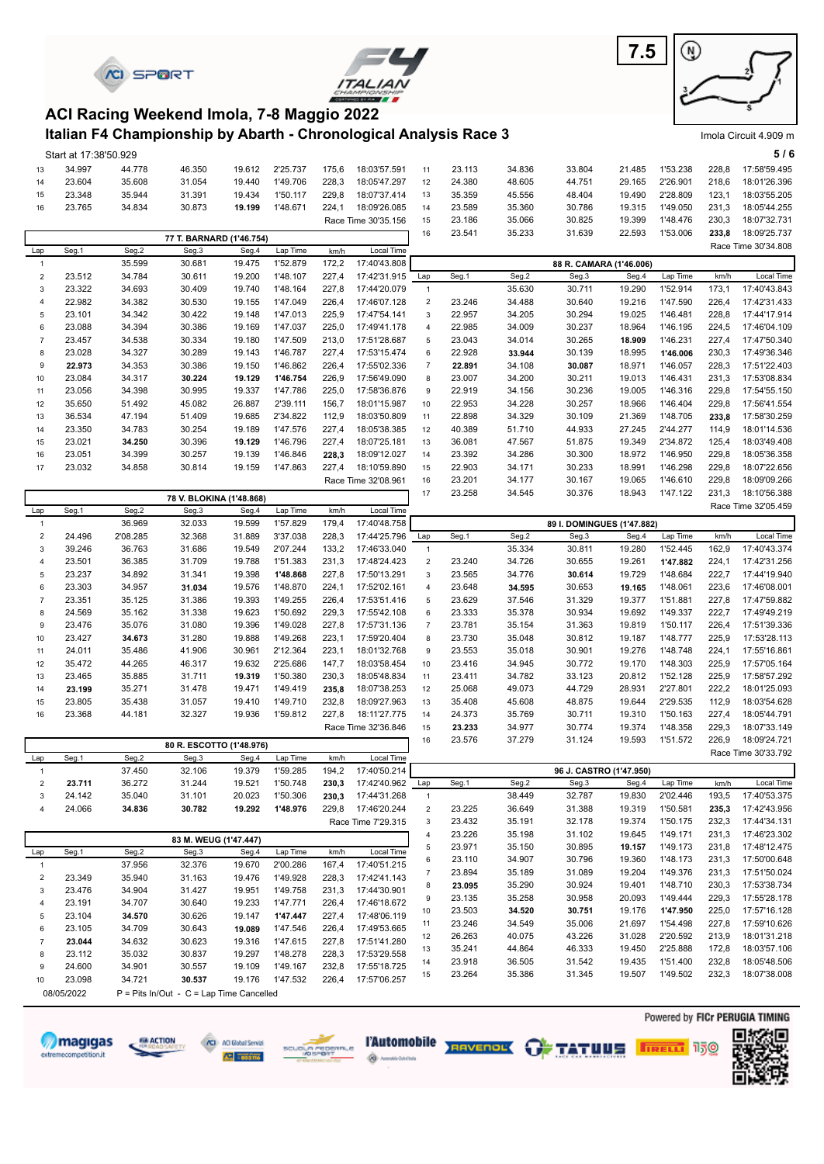



**7.5** ⊛

Imola Circuit 4.909 m

#### **Italian F4 Championship by Abarth - Chronological Analysis Race 3 ACI Racing Weekend Imola, 7-8 Maggio 2022**

|                         | Start at 17:38'50.929 |                  |                                          |                  |                      |                |                              |                     |                  |                  |                            |                         |                      |                | 5/6                          |
|-------------------------|-----------------------|------------------|------------------------------------------|------------------|----------------------|----------------|------------------------------|---------------------|------------------|------------------|----------------------------|-------------------------|----------------------|----------------|------------------------------|
| 13                      | 34.997                | 44.778           | 46.350                                   | 19.612           | 2'25.737             | 175,6          | 18:03'57.591                 | 11                  | 23.113           | 34.836           | 33.804                     | 21.485                  | 1'53.238             | 228,8          | 17:58'59.495                 |
| 14                      | 23.604                | 35.608           | 31.054                                   | 19.440           | 1'49.706             | 228,3          | 18:05'47.297                 | 12                  | 24.380           | 48.605           | 44.751                     | 29.165                  | 2'26.901             | 218,6          | 18:01'26.396                 |
| 15                      | 23.348                | 35.944           | 31.391                                   | 19.434           | 1'50.117             | 229,8          | 18:07'37.414                 | 13                  | 35.359           | 45.556           | 48.404                     | 19.490                  | 2'28.809             | 123,1          | 18:03'55.205                 |
| 16                      | 23.765                | 34.834           | 30.873                                   | 19.199           | 1'48.671             | 224,1          | 18:09'26.085                 | 14                  | 23.589           | 35.360           | 30.786                     | 19.315                  | 1'49.050             | 231,3          | 18:05'44.255                 |
|                         |                       |                  |                                          |                  |                      |                | Race Time 30'35.156          | 15                  | 23.186           | 35.066           | 30.825                     | 19.399                  | 1'48.476             | 230,3          | 18:07'32.731                 |
|                         |                       |                  | 77 T. BARNARD (1'46.754)                 |                  |                      |                |                              | 16                  | 23.541           | 35.233           | 31.639                     | 22.593                  | 1'53.006             | 233,8          | 18:09'25.737                 |
| Lap                     | Seg.1                 | Seg.2            | Seg.3                                    | Seg.4            | Lap Time             | km/h           | Local Time                   |                     |                  |                  |                            |                         |                      |                | Race Time 30'34.808          |
| $\mathbf{1}$            |                       | 35.599           | 30.681                                   | 19.475           | 1'52.879             | 172,2          | 17:40'43.808                 |                     |                  |                  |                            | 88 R. CAMARA (1'46.006) |                      |                |                              |
| $\overline{c}$          | 23.512                | 34.784           | 30.611                                   | 19.200           | 1'48.107             | 227,4          | 17:42'31.915                 | Lap                 | Seg.1            | Seg.2            | Seg.3                      | Seg.4                   | Lap Time             | km/h           | Local Time                   |
| 3                       | 23.322                | 34.693           | 30.409                                   | 19.740           | 1'48.164             | 227,8          | 17:44'20.079                 | $\mathbf{1}$        |                  | 35.630           | 30.711                     | 19.290                  | 1'52.914             | 173,1          | 17:40'43.843                 |
| $\overline{4}$          | 22.982                | 34.382           | 30.530                                   | 19.155           | 1'47.049             | 226,4          | 17:46'07.128                 | $\sqrt{2}$          | 23.246           | 34.488           | 30.640                     | 19.216                  | 1'47.590             | 226,4          | 17:42'31.433                 |
| 5                       | 23.101                | 34.342           | 30.422                                   | 19.148           | 1'47.013             | 225,9          | 17:47'54.141                 | 3                   | 22.957           | 34.205           | 30.294                     | 19.025                  | 1'46.481             | 228,8          | 17:44'17.914                 |
| 6                       | 23.088                | 34.394           | 30.386                                   | 19.169           | 1'47.037             | 225,0          | 17:49'41.178                 | $\overline{4}$      | 22.985           | 34.009           | 30.237                     | 18.964                  | 1'46.195             | 224,5          | 17:46'04.109                 |
| $\overline{7}$          | 23.457                | 34.538           | 30.334                                   | 19.180           | 1'47.509             | 213,0          | 17:51'28.687                 | 5                   | 23.043           | 34.014           | 30.265                     | 18.909                  | 1'46.231             | 227,4          | 17:47'50.340                 |
| 8                       | 23.028                | 34.327           | 30.289                                   | 19.143           | 1'46.787             | 227,4          | 17:53'15.474                 | 6                   | 22.928           | 33.944           | 30.139                     | 18.995                  | 1'46.006             | 230,3          | 17:49'36.346                 |
| 9                       | 22.973                | 34.353           | 30.386                                   | 19.150           | 1'46.862             | 226,4          | 17:55'02.336                 | $\boldsymbol{7}$    | 22.891           | 34.108           | 30.087                     | 18.971                  | 1'46.057             | 228,3          | 17:51'22.403                 |
| 10                      | 23.084                | 34.317           | 30.224                                   | 19.129           | 1'46.754             | 226,9          | 17:56'49.090                 | 8                   | 23.007           | 34.200           | 30.211                     | 19.013                  | 1'46.431             | 231,3          | 17:53'08.834                 |
| 11                      | 23.056                | 34.398           | 30.995                                   | 19.337           | 1'47.786             | 225,0          | 17:58'36.876                 | 9                   | 22.919           | 34.156           | 30.236                     | 19.005                  | 1'46.316             | 229,8          | 17:54'55.150                 |
| 12                      | 35.650                | 51.492           | 45.082                                   | 26.887           | 2'39.111             | 156,7          | 18:01'15.987                 | 10                  | 22.953           | 34.228           | 30.257                     | 18.966                  | 1'46.404             | 229,8          | 17:56'41.554                 |
| 13                      | 36.534                | 47.194           | 51.409                                   | 19.685           | 2'34.822             | 112,9          | 18:03'50.809                 | 11                  | 22.898           | 34.329           | 30.109                     | 21.369                  | 1'48.705             | 233,8          | 17:58'30.259                 |
| 14                      | 23.350                | 34.783           | 30.254                                   | 19.189           | 1'47.576             | 227,4          | 18:05'38.385                 | 12                  | 40.389           | 51.710           | 44.933                     | 27.245                  | 2'44.277             | 114,9          | 18:01'14.536                 |
| 15                      | 23.021                | 34.250           | 30.396                                   | 19.129           | 1'46.796             | 227,4          | 18:07'25.181                 | 13                  | 36.081           | 47.567           | 51.875                     | 19.349                  | 2'34.872             | 125,4          | 18:03'49.408                 |
| 16                      | 23.051                | 34.399           | 30.257                                   | 19.139           | 1'46.846             | 228,3          | 18:09'12.027                 | 14                  | 23.392           | 34.286           | 30.300                     | 18.972                  | 1'46.950             | 229,8          | 18:05'36.358                 |
| 17                      | 23.032                | 34.858           | 30.814                                   | 19.159           | 1'47.863             | 227,4          | 18:10'59.890                 | 15                  | 22.903           | 34.171           | 30.233                     | 18.991                  | 1'46.298             | 229,8          | 18:07'22.656                 |
|                         |                       |                  |                                          |                  |                      |                | Race Time 32'08.961          | 16                  | 23.201           | 34.177           | 30.167                     | 19.065                  | 1'46.610             | 229,8          | 18:09'09.266                 |
|                         |                       |                  | 78 V. BLOKINA (1'48.868)                 |                  |                      |                |                              | 17                  | 23.258           | 34.545           | 30.376                     | 18.943                  | 1'47.122             | 231,3          | 18:10'56.388                 |
| Lap                     | Seg.1                 | Seg.2            | Seg.3                                    | Seg.4            | Lap Time             | km/h           | Local Time                   |                     |                  |                  |                            |                         |                      |                | Race Time 32'05.459          |
| $\mathbf{1}$            |                       | 36.969           | 32.033                                   | 19.599           | 1'57.829             | 179,4          | 17:40'48.758                 |                     |                  |                  | 89 I. DOMINGUES (1'47.882) |                         |                      |                |                              |
| $\overline{c}$          | 24.496                | 2'08.285         | 32.368                                   | 31.889           | 3'37.038             | 228,3          | 17:44'25.796                 | Lap                 | Seg.1            | Seg.2            | Seg.3                      | Seg.4                   | Lap Time             | km/h           | Local Time                   |
| 3                       | 39.246                | 36.763           | 31.686                                   | 19.549           | 2'07.244             | 133,2          | 17:46'33.040                 | $\mathbf{1}$        |                  | 35.334           | 30.811                     | 19.280                  | 1'52.445             | 162,9          | 17:40'43.374                 |
| 4                       | 23.501                | 36.385           | 31.709                                   | 19.788           | 1'51.383             | 231,3          | 17:48'24.423                 | $\overline{2}$      | 23.240           | 34.726           | 30.655                     | 19.261                  | 1'47.882             | 224,1          | 17:42'31.256                 |
| 5                       | 23.237                | 34.892           | 31.341                                   | 19.398           | 1'48.868             | 227,8          | 17:50'13.291                 | 3                   | 23.565           | 34.776           | 30.614                     | 19.729                  | 1'48.684             | 222,7          | 17:44'19.940                 |
| 6                       | 23.303                | 34.957           | 31.034                                   | 19.576           | 1'48.870             | 224,1          | 17:52'02.161                 | 4                   | 23.648           | 34.595           | 30.653                     | 19.165                  | 1'48.061             | 223,6          | 17:46'08.001                 |
| $\overline{7}$          | 23.351                | 35.125           | 31.386                                   | 19.393           | 1'49.255             | 226,4          | 17:53'51.416                 | 5                   | 23.629           | 37.546           | 31.329                     | 19.377                  | 1'51.881             | 227,8          | 17:47'59.882                 |
| 8                       | 24.569                | 35.162           | 31.338                                   | 19.623           | 1'50.692<br>1'49.028 | 229,3          | 17:55'42.108                 | 6                   | 23.333           | 35.378           | 30.934                     | 19.692                  | 1'49.337<br>1'50.117 | 222,7          | 17:49'49.219<br>17:51'39.336 |
| 9                       | 23.476<br>23.427      | 35.076<br>34.673 | 31.080<br>31.280                         | 19.396<br>19.888 | 1'49.268             | 227,8<br>223,1 | 17:57'31.136<br>17:59'20.404 | $\overline{7}$<br>8 | 23.781<br>23.730 | 35.154<br>35.048 | 31.363<br>30.812           | 19.819<br>19.187        | 1'48.777             | 226,4<br>225,9 | 17:53'28.113                 |
| 10<br>11                | 24.011                | 35.486           | 41.906                                   | 30.961           | 2'12.364             | 223,1          | 18:01'32.768                 | 9                   | 23.553           | 35.018           | 30.901                     | 19.276                  | 1'48.748             | 224,1          | 17:55'16.861                 |
| 12                      | 35.472                | 44.265           | 46.317                                   | 19.632           | 2'25.686             | 147,7          | 18:03'58.454                 | 10                  | 23.416           | 34.945           | 30.772                     | 19.170                  | 1'48.303             | 225,9          | 17:57'05.164                 |
| 13                      | 23.465                | 35.885           | 31.711                                   | 19.319           | 1'50.380             | 230,3          | 18:05'48.834                 | 11                  | 23.411           | 34.782           | 33.123                     | 20.812                  | 1'52.128             | 225,9          | 17:58'57.292                 |
| 14                      | 23.199                | 35.271           | 31.478                                   | 19.471           | 1'49.419             | 235,8          | 18:07'38.253                 | 12                  | 25.068           | 49.073           | 44.729                     | 28.931                  | 2'27.801             | 222,2          | 18:01'25.093                 |
| 15                      | 23.805                | 35.438           | 31.057                                   | 19.410           | 1'49.710             | 232,8          | 18:09'27.963                 | 13                  | 35.408           | 45.608           | 48.875                     | 19.644                  | 2'29.535             | 112,9          | 18:03'54.628                 |
| 16                      | 23.368                | 44.181           | 32.327                                   | 19.936           | 1'59.812             | 227,8          | 18:11'27.775                 | 14                  | 24.373           | 35.769           | 30.711                     | 19.310                  | 1'50.163             | 227,4          | 18:05'44.791                 |
|                         |                       |                  |                                          |                  |                      |                | Race Time 32'36.846          | 15                  | 23.233           | 34.977           | 30.774                     | 19.374                  | 1'48.358             | 229,3          | 18:07'33.149                 |
|                         |                       |                  |                                          |                  |                      |                |                              | 16                  | 23.576           | 37.279           | 31.124                     | 19.593                  | 1'51.572             | 226,9          | 18:09'24.721                 |
|                         |                       |                  | 80 R. ESCOTTO (1'48.976)                 |                  |                      | km/h           | Local Time                   |                     |                  |                  |                            |                         |                      |                | Race Time 30'33.792          |
| Lap                     | Seg.1                 | Seg.2<br>37.450  | Seg.3<br>32.106                          | Seg.4<br>19.379  | Lap Time<br>1'59.285 | 194,2          | 17:40'50.214                 |                     |                  |                  |                            | 96 J. CASTRO (1'47.950) |                      |                |                              |
| $\overline{\mathbf{c}}$ | 23.711                | 36.272           | 31.244                                   | 19.521           | 1'50.748             | 230,3          | 17:42'40.962                 | Lap                 | Seg.1            | Seg.2            | Seg.3                      | Seg.4                   | Lap Time             | km/h           | Local Time                   |
| 3                       | 24.142                | 35.040           | 31.101                                   | 20.023           | 1'50.306             | 230,3          | 17:44'31.268                 | $\mathbf{1}$        |                  | 38.449           | 32.787                     | 19.830                  | 2'02.446             | 193,5          | 17:40'53.375                 |
| 4                       | 24.066                | 34.836           | 30.782                                   | 19.292           | 1'48.976             | 229,8          | 17:46'20.244                 | 2                   | 23.225           | 36.649           | 31.388                     | 19.319                  | 1'50.581             | 235,3          | 17:42'43.956                 |
|                         |                       |                  |                                          |                  |                      |                | Race Time 7'29.315           | 3                   | 23.432           | 35.191           | 32.178                     | 19.374                  | 1'50.175             | 232,3          | 17:44'34.131                 |
|                         |                       |                  |                                          |                  |                      |                |                              | 4                   | 23.226           | 35.198           | 31.102                     | 19.645                  | 1'49.171             | 231,3          | 17:46'23.302                 |
|                         |                       | Seg.2            | 83 M. WEUG (1'47.447)                    |                  | Lap Time             |                | Local Time                   | 5                   | 23.971           | 35.150           | 30.895                     | 19.157                  | 1'49.173             | 231,8          | 17:48'12.475                 |
| Lap<br>$\mathbf{1}$     | Seg.1                 | 37.956           | Seg.3<br>32.376                          | Seg.4<br>19.670  | 2'00.286             | km/h<br>167,4  | 17:40'51.215                 | 6                   | 23.110           | 34.907           | 30.796                     | 19.360                  | 1'48.173             | 231,3          | 17:50'00.648                 |
| $\overline{\mathbf{c}}$ | 23.349                | 35.940           | 31.163                                   | 19.476           | 1'49.928             | 228,3          | 17:42'41.143                 | 7                   | 23.894           | 35.189           | 31.089                     | 19.204                  | 1'49.376             | 231,3          | 17:51'50.024                 |
| 3                       | 23.476                | 34.904           | 31.427                                   | 19.951           | 1'49.758             | 231,3          | 17:44'30.901                 | 8                   | 23.095           | 35.290           | 30.924                     | 19.401                  | 1'48.710             | 230,3          | 17:53'38.734                 |
| 4                       | 23.191                | 34.707           | 30.640                                   | 19.233           | 1'47.771             | 226,4          | 17:46'18.672                 | 9                   | 23.135           | 35.258           | 30.958                     | 20.093                  | 1'49.444             | 229,3          | 17:55'28.178                 |
| 5                       | 23.104                | 34.570           | 30.626                                   | 19.147           | 1'47.447             | 227,4          | 17:48'06.119                 | 10                  | 23.503           | 34.520           | 30.751                     | 19.176                  | 1'47.950             | 225,0          | 17:57'16.128                 |
| 6                       | 23.105                | 34.709           | 30.643                                   | 19.089           | 1'47.546             | 226,4          | 17:49'53.665                 | 11                  | 23.246           | 34.549           | 35.006                     | 21.697                  | 1'54.498             | 227,8          | 17:59'10.626                 |
| $\overline{7}$          | 23.044                | 34.632           | 30.623                                   | 19.316           | 1'47.615             | 227,8          | 17:51'41.280                 | 12                  | 26.263           | 40.075           | 43.226                     | 31.028                  | 2'20.592             | 213,9          | 18:01'31.218                 |
| 8                       | 23.112                | 35.032           | 30.837                                   | 19.297           | 1'48.278             | 228,3          | 17:53'29.558                 | 13                  | 35.241           | 44.864           | 46.333                     | 19.450                  | 2'25.888             | 172,8          | 18:03'57.106                 |
| 9                       | 24.600                | 34.901           | 30.557                                   | 19.109           | 1'49.167             | 232,8          | 17:55'18.725                 | 14                  | 23.918           | 36.505           | 31.542                     | 19.435                  | 1'51.400             | 232,8          | 18:05'48.506                 |
| 10                      | 23.098                | 34.721           | 30.537                                   | 19.176           | 1'47.532             | 226,4          | 17:57'06.257                 | 15                  | 23.264           | 35.386           | 31.345                     | 19.507                  | 1'49.502             | 232,3          | 18:07'38.008                 |
|                         | 08/05/2022            |                  | P = Pits In/Out - C = Lap Time Cancelled |                  |                      |                |                              |                     |                  |                  |                            |                         |                      |                |                              |
|                         |                       |                  |                                          |                  |                      |                |                              |                     |                  |                  |                            |                         |                      |                |                              |













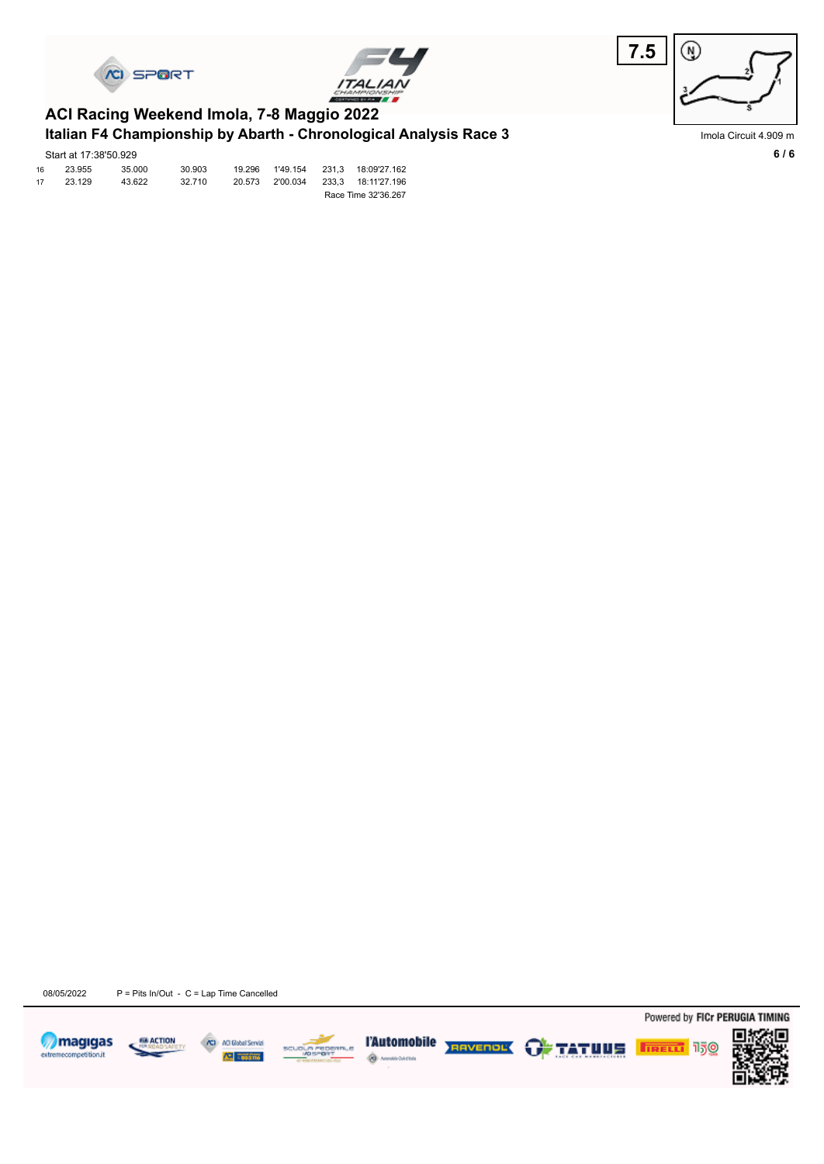





#### **Italian F4 Championship by Abarth - Chronological Analysis Race 3 ACI Racing Weekend Imola, 7-8 Maggio 2022**

|    | Start at 17:38'50.929 |        |        |        |          |       |                     |
|----|-----------------------|--------|--------|--------|----------|-------|---------------------|
| 16 | 23.955                | 35,000 | 30.903 | 19.296 | 1'49.154 | 231.3 | 18:09'27.162        |
| 17 | 23.129                | 43.622 | 32.710 | 20.573 | 2'00.034 |       | 233,3 18:11'27.196  |
|    |                       |        |        |        |          |       | Race Time 32'36.267 |

Imola Circuit 4.909 m

08/05/2022 P = Pits In/Out - C = Lap Time Cancelled









Powered by FICr PERUGIA TIMING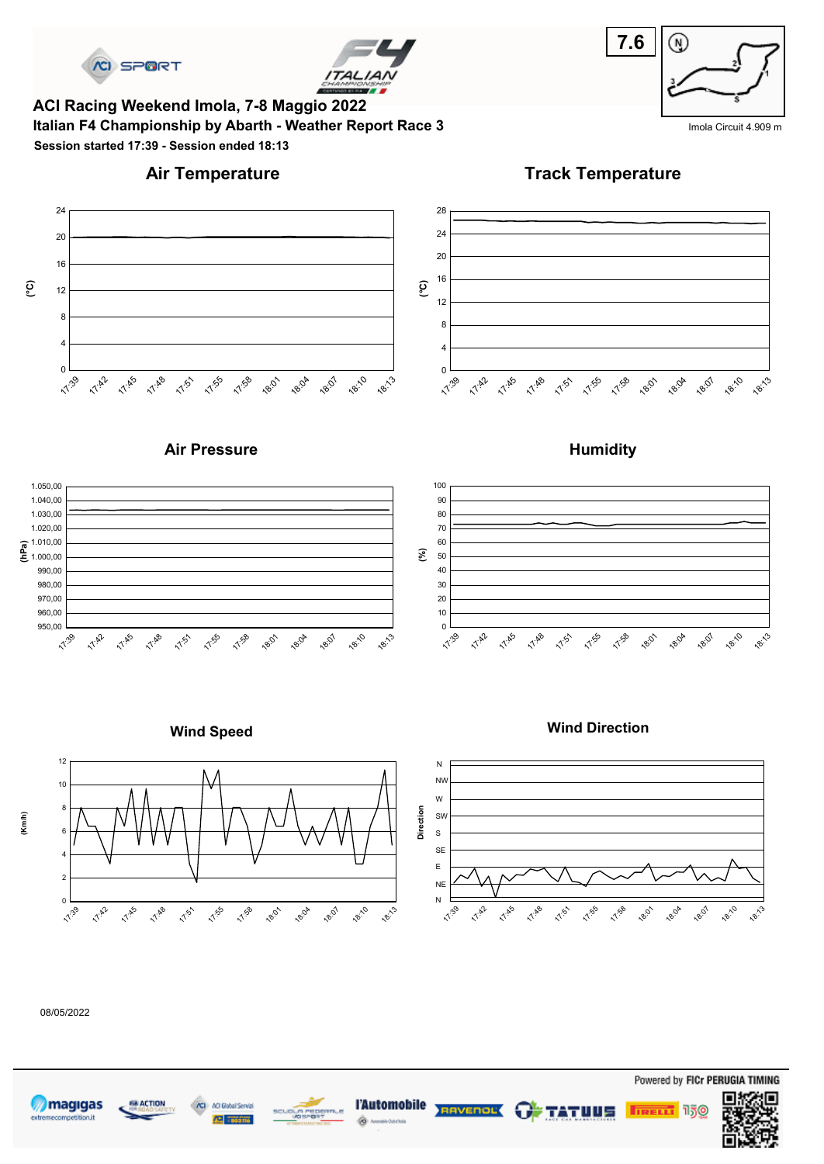



**Italian F4 Championship by Abarth - Weather Report Race 3** Imola Circuit 4.909 m **ACI Racing Weekend Imola, 7-8 Maggio 2022 Session started 17:39 - Session ended 18:13**

# **7.6**  $\circledR$



**Track Temperature**













08/05/2022







Powered by FICr PERUGIA TIMING



**Humidity**